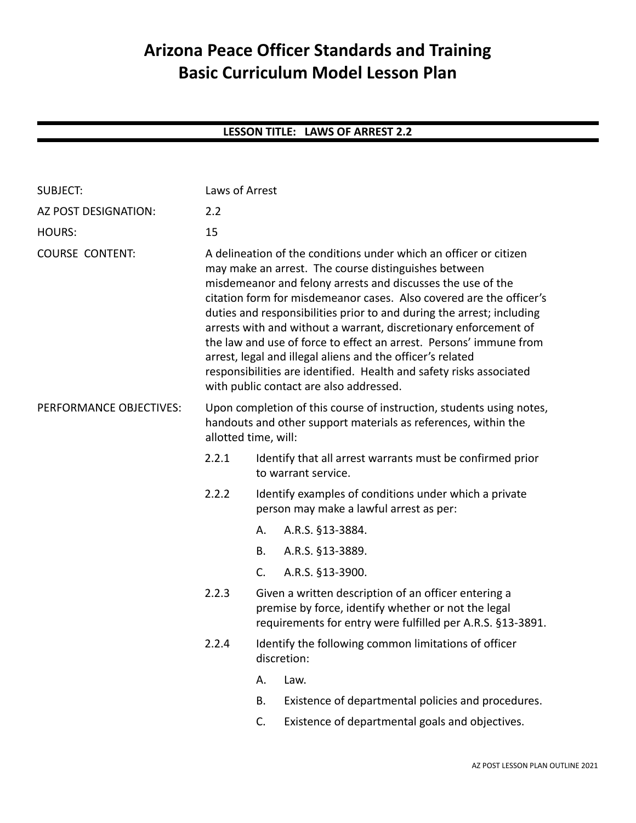# **Arizona Peace Officer Standards and Training Basic Curriculum Model Lesson Plan**

# **LESSON TITLE: LAWS OF ARREST 2.2**

| <b>SUBJECT:</b>         |                                                                                                                                                                                                                                                                                                                                                                                                                                                                                                                                                                                                                                                                    | Laws of Arrest                                                                                                                                                            |                                                    |  |  |
|-------------------------|--------------------------------------------------------------------------------------------------------------------------------------------------------------------------------------------------------------------------------------------------------------------------------------------------------------------------------------------------------------------------------------------------------------------------------------------------------------------------------------------------------------------------------------------------------------------------------------------------------------------------------------------------------------------|---------------------------------------------------------------------------------------------------------------------------------------------------------------------------|----------------------------------------------------|--|--|
| AZ POST DESIGNATION:    | 2.2                                                                                                                                                                                                                                                                                                                                                                                                                                                                                                                                                                                                                                                                |                                                                                                                                                                           |                                                    |  |  |
| <b>HOURS:</b>           | 15                                                                                                                                                                                                                                                                                                                                                                                                                                                                                                                                                                                                                                                                 |                                                                                                                                                                           |                                                    |  |  |
| <b>COURSE CONTENT:</b>  | A delineation of the conditions under which an officer or citizen<br>may make an arrest. The course distinguishes between<br>misdemeanor and felony arrests and discusses the use of the<br>citation form for misdemeanor cases. Also covered are the officer's<br>duties and responsibilities prior to and during the arrest; including<br>arrests with and without a warrant, discretionary enforcement of<br>the law and use of force to effect an arrest. Persons' immune from<br>arrest, legal and illegal aliens and the officer's related<br>responsibilities are identified. Health and safety risks associated<br>with public contact are also addressed. |                                                                                                                                                                           |                                                    |  |  |
| PERFORMANCE OBJECTIVES: | Upon completion of this course of instruction, students using notes,<br>handouts and other support materials as references, within the<br>allotted time, will:                                                                                                                                                                                                                                                                                                                                                                                                                                                                                                     |                                                                                                                                                                           |                                                    |  |  |
|                         | 2.2.1                                                                                                                                                                                                                                                                                                                                                                                                                                                                                                                                                                                                                                                              | Identify that all arrest warrants must be confirmed prior<br>to warrant service.                                                                                          |                                                    |  |  |
|                         | 2.2.2                                                                                                                                                                                                                                                                                                                                                                                                                                                                                                                                                                                                                                                              | Identify examples of conditions under which a private<br>person may make a lawful arrest as per:                                                                          |                                                    |  |  |
|                         |                                                                                                                                                                                                                                                                                                                                                                                                                                                                                                                                                                                                                                                                    | А.                                                                                                                                                                        | A.R.S. §13-3884.                                   |  |  |
|                         |                                                                                                                                                                                                                                                                                                                                                                                                                                                                                                                                                                                                                                                                    | В.                                                                                                                                                                        | A.R.S. §13-3889.                                   |  |  |
|                         |                                                                                                                                                                                                                                                                                                                                                                                                                                                                                                                                                                                                                                                                    | $C_{\cdot}$                                                                                                                                                               | A.R.S. §13-3900.                                   |  |  |
|                         | 2.2.3                                                                                                                                                                                                                                                                                                                                                                                                                                                                                                                                                                                                                                                              | Given a written description of an officer entering a<br>premise by force, identify whether or not the legal<br>requirements for entry were fulfilled per A.R.S. §13-3891. |                                                    |  |  |
|                         | 2.2.4                                                                                                                                                                                                                                                                                                                                                                                                                                                                                                                                                                                                                                                              | Identify the following common limitations of officer<br>discretion:                                                                                                       |                                                    |  |  |
|                         |                                                                                                                                                                                                                                                                                                                                                                                                                                                                                                                                                                                                                                                                    | А.                                                                                                                                                                        | Law.                                               |  |  |
|                         |                                                                                                                                                                                                                                                                                                                                                                                                                                                                                                                                                                                                                                                                    | Β.                                                                                                                                                                        | Existence of departmental policies and procedures. |  |  |
|                         |                                                                                                                                                                                                                                                                                                                                                                                                                                                                                                                                                                                                                                                                    | C.                                                                                                                                                                        | Existence of departmental goals and objectives.    |  |  |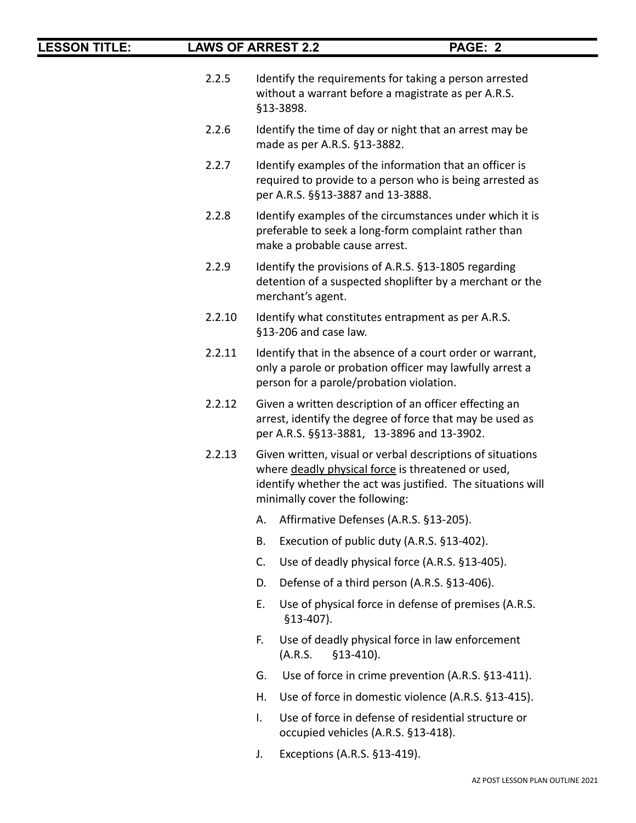- 2.2.5 Identify the requirements for taking a person arrested without a warrant before a magistrate as per A.R.S. §13-3898.
- 2.2.6 Identify the time of day or night that an arrest may be made as per A.R.S. §13-3882.
- 2.2.7 Identify examples of the information that an officer is required to provide to a person who is being arrested as per A.R.S. §§13-3887 and 13-3888.
- 2.2.8 Identify examples of the circumstances under which it is preferable to seek a long-form complaint rather than make a probable cause arrest.
- 2.2.9 Identify the provisions of A.R.S. §13-1805 regarding detention of a suspected shoplifter by a merchant or the merchant's agent.
- 2.2.10 Identify what constitutes entrapment as per A.R.S. §13-206 and case law.
- 2.2.11 Identify that in the absence of a court order or warrant, only a parole or probation officer may lawfully arrest a person for a parole/probation violation.
- 2.2.12 Given a written description of an officer effecting an arrest, identify the degree of force that may be used as per A.R.S. §§13-3881, 13-3896 and 13-3902.
- 2.2.13 Given written, visual or verbal descriptions of situations where deadly physical force is threatened or used, identify whether the act was justified. The situations will minimally cover the following:
	- A. Affirmative Defenses (A.R.S. §13-205).
	- B. Execution of public duty (A.R.S. §13-402).
	- C. Use of deadly physical force (A.R.S. §13-405).
	- D. Defense of a third person (A.R.S. §13-406).
	- E. Use of physical force in defense of premises (A.R.S. §13-407).
	- F. Use of deadly physical force in law enforcement (A.R.S. §13-410).
	- G. Use of force in crime prevention (A.R.S. §13-411).
	- H. Use of force in domestic violence (A.R.S. §13-415).
	- I. Use of force in defense of residential structure or occupied vehicles (A.R.S. §13-418).
	- J. Exceptions (A.R.S. §13-419).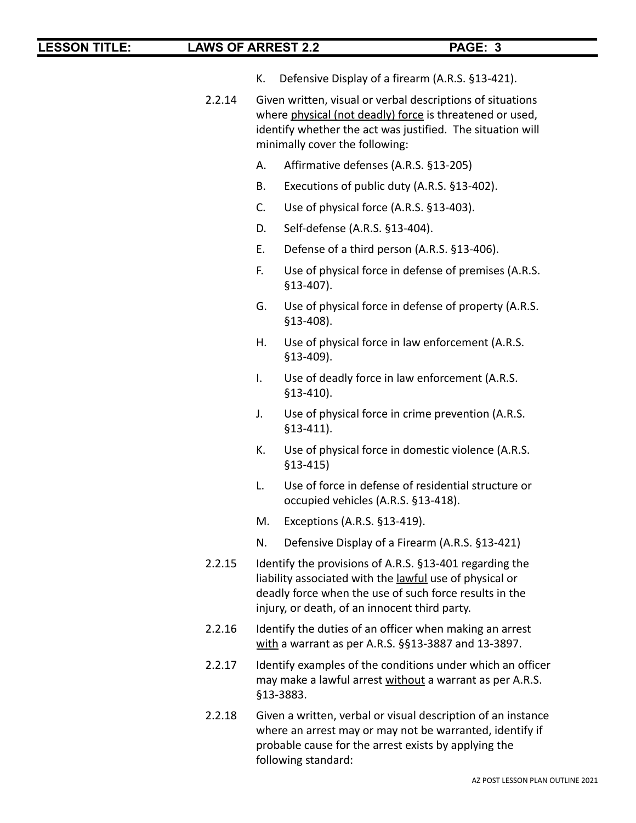- K. Defensive Display of a firearm (A.R.S. §13-421).
- 2.2.14 Given written, visual or verbal descriptions of situations where physical (not deadly) force is threatened or used, identify whether the act was justified. The situation will minimally cover the following:
	- A. Affirmative defenses (A.R.S. §13-205)
	- B. Executions of public duty (A.R.S. §13-402).
	- C. Use of physical force (A.R.S. §13-403).
	- D. Self-defense (A.R.S. §13-404).
	- E. Defense of a third person (A.R.S. §13-406).
	- F. Use of physical force in defense of premises (A.R.S. §13-407).
	- G. Use of physical force in defense of property (A.R.S. §13-408).
	- H. Use of physical force in law enforcement (A.R.S. §13-409).
	- I. Use of deadly force in law enforcement (A.R.S. §13-410).
	- J. Use of physical force in crime prevention (A.R.S. §13-411).
	- K. Use of physical force in domestic violence (A.R.S. §13-415)
	- L. Use of force in defense of residential structure or occupied vehicles (A.R.S. §13-418).
	- M. Exceptions (A.R.S. §13-419).
	- N. Defensive Display of a Firearm (A.R.S. §13-421)
- 2.2.15 Identify the provisions of A.R.S. §13-401 regarding the liability associated with the lawful use of physical or deadly force when the use of such force results in the injury, or death, of an innocent third party.
- 2.2.16 Identify the duties of an officer when making an arrest with a warrant as per A.R.S. §§13-3887 and 13-3897.
- 2.2.17 Identify examples of the conditions under which an officer may make a lawful arrest without a warrant as per A.R.S. §13-3883.
- 2.2.18 Given a written, verbal or visual description of an instance where an arrest may or may not be warranted, identify if probable cause for the arrest exists by applying the following standard: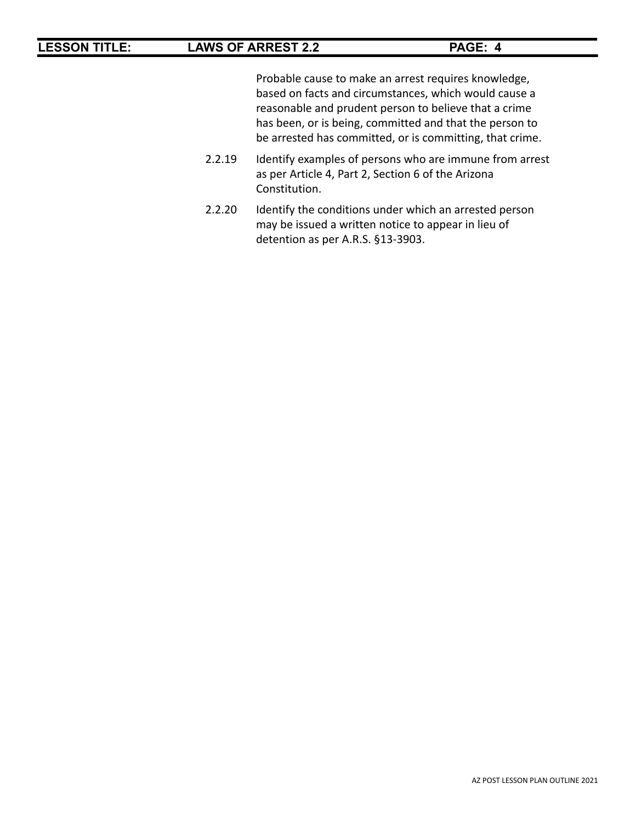Probable cause to make an arrest requires knowledge, based on facts and circumstances, which would cause a reasonable and prudent person to believe that a crime has been, or is being, committed and that the person to be arrested has committed, or is committing, that crime.

- 2.2.19 Identify examples of persons who are immune from arrest as per Article 4, Part 2, Section 6 of the Arizona Constitution.
- 2.2.20 Identify the conditions under which an arrested person may be issued a written notice to appear in lieu of detention as per A.R.S. §13-3903.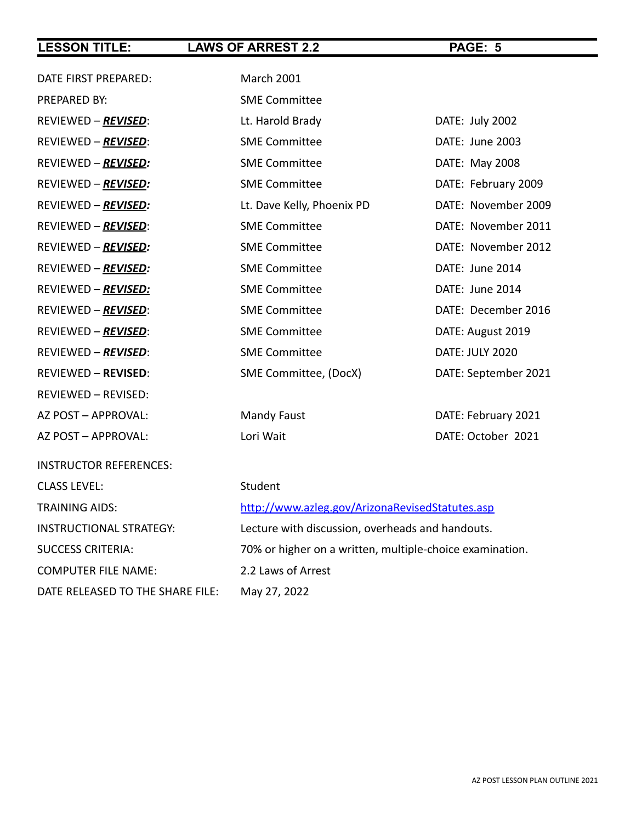| DATE FIRST PREPARED:             | <b>March 2001</b>                                        |                      |  |  |
|----------------------------------|----------------------------------------------------------|----------------------|--|--|
| PREPARED BY:                     | <b>SME Committee</b>                                     |                      |  |  |
| REVIEWED – REVISED:              | Lt. Harold Brady                                         | DATE: July 2002      |  |  |
| REVIEWED - REVISED:              | <b>SME Committee</b>                                     | DATE: June 2003      |  |  |
| REVIEWED - REVISED:              | <b>SME Committee</b>                                     | DATE: May 2008       |  |  |
| REVIEWED - REVISED:              | <b>SME Committee</b>                                     | DATE: February 2009  |  |  |
| REVIEWED - REVISED:              | Lt. Dave Kelly, Phoenix PD                               | DATE: November 2009  |  |  |
| REVIEWED - REVISED:              | <b>SME Committee</b>                                     | DATE: November 2011  |  |  |
| REVIEWED - REVISED:              | <b>SME Committee</b>                                     | DATE: November 2012  |  |  |
| REVIEWED - REVISED:              | <b>SME Committee</b>                                     | DATE: June 2014      |  |  |
| REVIEWED - REVISED:              | <b>SME Committee</b>                                     | DATE: June 2014      |  |  |
| REVIEWED - REVISED:              | <b>SME Committee</b>                                     | DATE: December 2016  |  |  |
| REVIEWED – REVISED:              | <b>SME Committee</b>                                     | DATE: August 2019    |  |  |
| REVIEWED - REVISED:              | <b>SME Committee</b>                                     | DATE: JULY 2020      |  |  |
| <b>REVIEWED - REVISED:</b>       | SME Committee, (DocX)                                    | DATE: September 2021 |  |  |
| REVIEWED - REVISED:              |                                                          |                      |  |  |
| AZ POST - APPROVAL:              | <b>Mandy Faust</b>                                       | DATE: February 2021  |  |  |
| AZ POST - APPROVAL:              | Lori Wait                                                | DATE: October 2021   |  |  |
| <b>INSTRUCTOR REFERENCES:</b>    |                                                          |                      |  |  |
| <b>CLASS LEVEL:</b>              | Student                                                  |                      |  |  |
| <b>TRAINING AIDS:</b>            | http://www.azleg.gov/ArizonaRevisedStatutes.asp          |                      |  |  |
| <b>INSTRUCTIONAL STRATEGY:</b>   | Lecture with discussion, overheads and handouts.         |                      |  |  |
| <b>SUCCESS CRITERIA:</b>         | 70% or higher on a written, multiple-choice examination. |                      |  |  |
| <b>COMPUTER FILE NAME:</b>       | 2.2 Laws of Arrest                                       |                      |  |  |
| DATE RELEASED TO THE SHARE FILE: | May 27, 2022                                             |                      |  |  |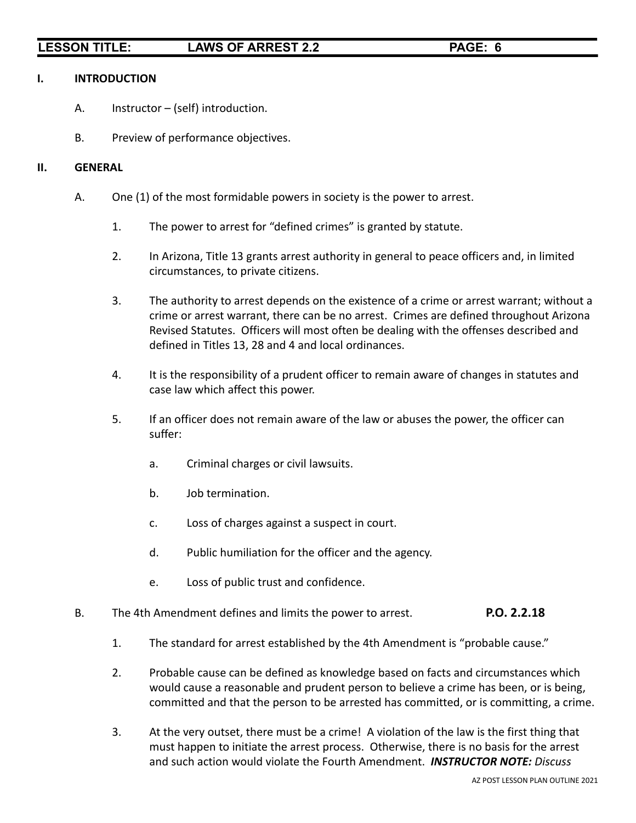### **I. INTRODUCTION**

- A. Instructor (self) introduction.
- B. Preview of performance objectives.

### **II. GENERAL**

- A. One (1) of the most formidable powers in society is the power to arrest.
	- 1. The power to arrest for "defined crimes" is granted by statute.
	- 2. In Arizona, Title 13 grants arrest authority in general to peace officers and, in limited circumstances, to private citizens.
	- 3. The authority to arrest depends on the existence of a crime or arrest warrant; without a crime or arrest warrant, there can be no arrest. Crimes are defined throughout Arizona Revised Statutes. Officers will most often be dealing with the offenses described and defined in Titles 13, 28 and 4 and local ordinances.
	- 4. It is the responsibility of a prudent officer to remain aware of changes in statutes and case law which affect this power.
	- 5. If an officer does not remain aware of the law or abuses the power, the officer can suffer:
		- a. Criminal charges or civil lawsuits.
		- b. Job termination.
		- c. Loss of charges against a suspect in court.
		- d. Public humiliation for the officer and the agency.
		- e. Loss of public trust and confidence.
- B. The 4th Amendment defines and limits the power to arrest. **P.O. 2.2.18**
	- 1. The standard for arrest established by the 4th Amendment is "probable cause."
	- 2. Probable cause can be defined as knowledge based on facts and circumstances which would cause a reasonable and prudent person to believe a crime has been, or is being, committed and that the person to be arrested has committed, or is committing, a crime.
	- 3. At the very outset, there must be a crime! A violation of the law is the first thing that must happen to initiate the arrest process. Otherwise, there is no basis for the arrest and such action would violate the Fourth Amendment. *INSTRUCTOR NOTE: Discuss*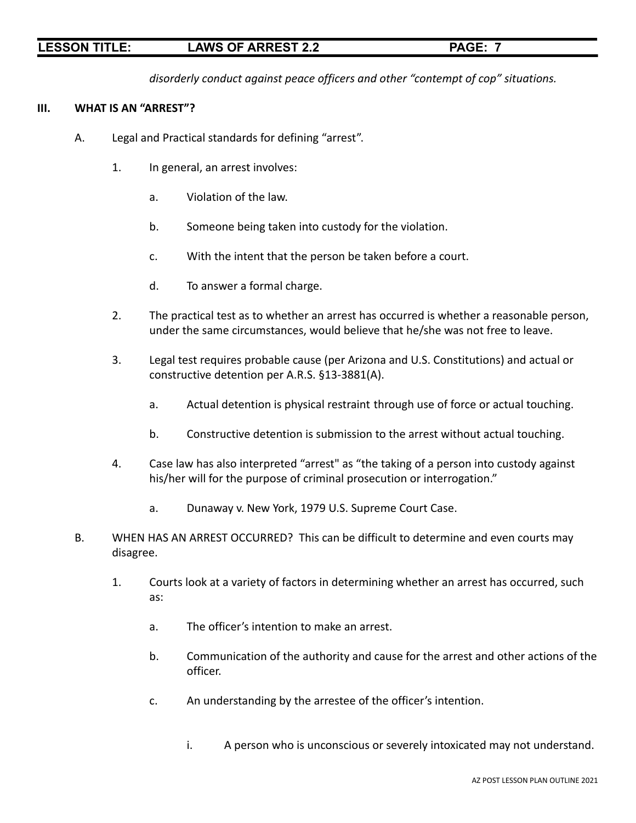*disorderly conduct against peace officers and other "contempt of cop" situations.*

### **III. WHAT IS AN "ARREST"?**

- A. Legal and Practical standards for defining "arrest".
	- 1. In general, an arrest involves:
		- a. Violation of the law.
		- b. Someone being taken into custody for the violation.
		- c. With the intent that the person be taken before a court.
		- d. To answer a formal charge.
	- 2. The practical test as to whether an arrest has occurred is whether a reasonable person, under the same circumstances, would believe that he/she was not free to leave.
	- 3. Legal test requires probable cause (per Arizona and U.S. Constitutions) and actual or constructive detention per A.R.S. §13-3881(A).
		- a. Actual detention is physical restraint through use of force or actual touching.
		- b. Constructive detention is submission to the arrest without actual touching.
	- 4. Case law has also interpreted "arrest" as "the taking of a person into custody against his/her will for the purpose of criminal prosecution or interrogation."
		- a. Dunaway v. New York, 1979 U.S. Supreme Court Case.
- B. WHEN HAS AN ARREST OCCURRED? This can be difficult to determine and even courts may disagree.
	- 1. Courts look at a variety of factors in determining whether an arrest has occurred, such as:
		- a. The officer's intention to make an arrest.
		- b. Communication of the authority and cause for the arrest and other actions of the officer.
		- c. An understanding by the arrestee of the officer's intention.
			- i. A person who is unconscious or severely intoxicated may not understand.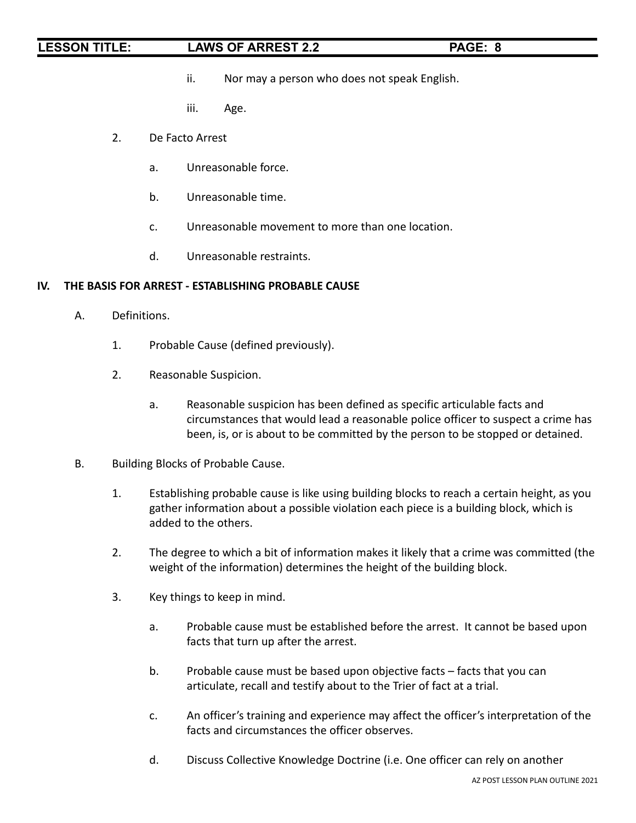- ii. Nor may a person who does not speak English.
- iii. Age.
- 2. De Facto Arrest
	- a. Unreasonable force.
	- b. Unreasonable time.
	- c. Unreasonable movement to more than one location.
	- d. Unreasonable restraints.

### **IV. THE BASIS FOR ARREST - ESTABLISHING PROBABLE CAUSE**

- A. Definitions.
	- 1. Probable Cause (defined previously).
	- 2. Reasonable Suspicion.
		- a. Reasonable suspicion has been defined as specific articulable facts and circumstances that would lead a reasonable police officer to suspect a crime has been, is, or is about to be committed by the person to be stopped or detained.
- B. Building Blocks of Probable Cause.
	- 1. Establishing probable cause is like using building blocks to reach a certain height, as you gather information about a possible violation each piece is a building block, which is added to the others.
	- 2. The degree to which a bit of information makes it likely that a crime was committed (the weight of the information) determines the height of the building block.
	- 3. Key things to keep in mind.
		- a. Probable cause must be established before the arrest. It cannot be based upon facts that turn up after the arrest.
		- b. Probable cause must be based upon objective facts facts that you can articulate, recall and testify about to the Trier of fact at a trial.
		- c. An officer's training and experience may affect the officer's interpretation of the facts and circumstances the officer observes.
		- d. Discuss Collective Knowledge Doctrine (i.e. One officer can rely on another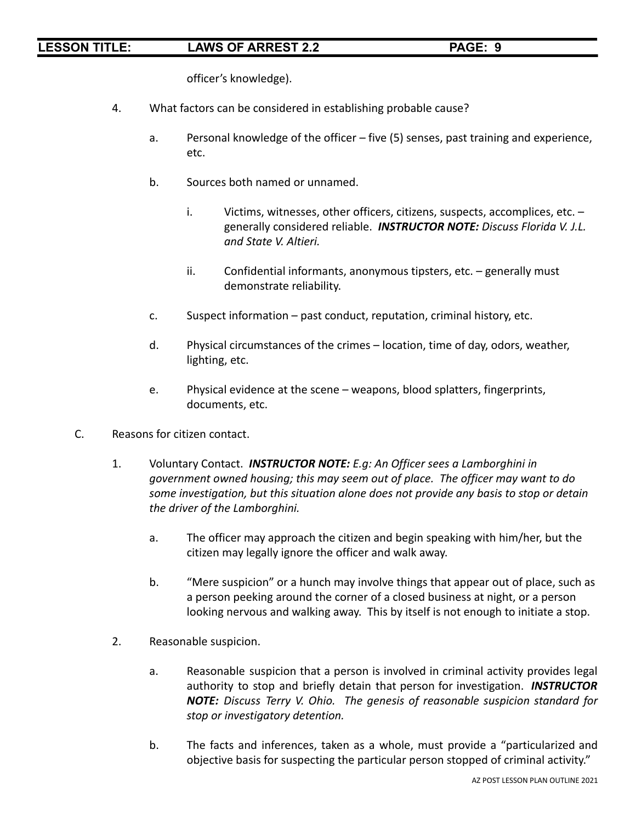officer's knowledge).

- 4. What factors can be considered in establishing probable cause?
	- a. Personal knowledge of the officer five (5) senses, past training and experience, etc.
	- b. Sources both named or unnamed.
		- i. Victims, witnesses, other officers, citizens, suspects, accomplices, etc. generally considered reliable. *INSTRUCTOR NOTE: Discuss Florida V. J.L. and State V. Altieri.*
		- ii. Confidential informants, anonymous tipsters, etc. generally must demonstrate reliability.
	- c. Suspect information past conduct, reputation, criminal history, etc.
	- d. Physical circumstances of the crimes location, time of day, odors, weather, lighting, etc.
	- e. Physical evidence at the scene weapons, blood splatters, fingerprints, documents, etc.
- C. Reasons for citizen contact.
	- 1. Voluntary Contact. *INSTRUCTOR NOTE: E.g: An Officer sees a Lamborghini in government owned housing; this may seem out of place. The officer may want to do some investigation, but this situation alone does not provide any basis to stop or detain the driver of the Lamborghini.*
		- a. The officer may approach the citizen and begin speaking with him/her, but the citizen may legally ignore the officer and walk away.
		- b. "Mere suspicion" or a hunch may involve things that appear out of place, such as a person peeking around the corner of a closed business at night, or a person looking nervous and walking away. This by itself is not enough to initiate a stop.
	- 2. Reasonable suspicion.
		- a. Reasonable suspicion that a person is involved in criminal activity provides legal authority to stop and briefly detain that person for investigation. *INSTRUCTOR NOTE: Discuss Terry V. Ohio. The genesis of reasonable suspicion standard for stop or investigatory detention.*
		- b. The facts and inferences, taken as a whole, must provide a "particularized and objective basis for suspecting the particular person stopped of criminal activity."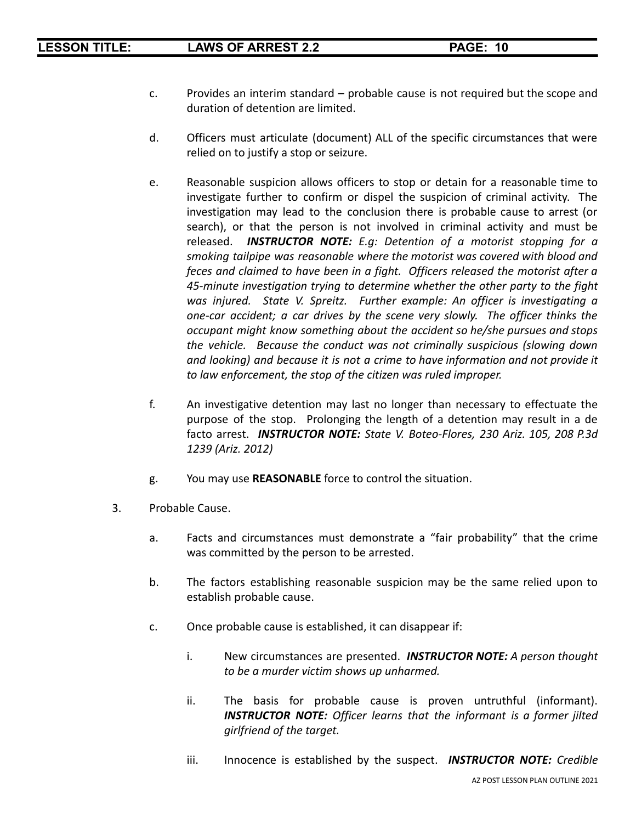- c. Provides an interim standard probable cause is not required but the scope and duration of detention are limited.
- d. Officers must articulate (document) ALL of the specific circumstances that were relied on to justify a stop or seizure.
- e. Reasonable suspicion allows officers to stop or detain for a reasonable time to investigate further to confirm or dispel the suspicion of criminal activity. The investigation may lead to the conclusion there is probable cause to arrest (or search), or that the person is not involved in criminal activity and must be released. *INSTRUCTOR NOTE: E.g: Detention of a motorist stopping for a smoking tailpipe was reasonable where the motorist was covered with blood and feces and claimed to have been in a fight. Officers released the motorist after a 45-minute investigation trying to determine whether the other party to the fight was injured. State V. Spreitz. Further example: An officer is investigating a one-car accident; a car drives by the scene very slowly. The officer thinks the occupant might know something about the accident so he/she pursues and stops the vehicle. Because the conduct was not criminally suspicious (slowing down and looking) and because it is not a crime to have information and not provide it to law enforcement, the stop of the citizen was ruled improper.*
- f. An investigative detention may last no longer than necessary to effectuate the purpose of the stop. Prolonging the length of a detention may result in a de facto arrest. *INSTRUCTOR NOTE: State V. Boteo-Flores, 230 Ariz. 105, 208 P.3d 1239 (Ariz. 2012)*
- g. You may use **REASONABLE** force to control the situation.
- 3. Probable Cause.
	- a. Facts and circumstances must demonstrate a "fair probability" that the crime was committed by the person to be arrested.
	- b. The factors establishing reasonable suspicion may be the same relied upon to establish probable cause.
	- c. Once probable cause is established, it can disappear if:
		- i. New circumstances are presented. *INSTRUCTOR NOTE: A person thought to be a murder victim shows up unharmed.*
		- ii. The basis for probable cause is proven untruthful (informant). *INSTRUCTOR NOTE: Officer learns that the informant is a former jilted girlfriend of the target.*
		- iii. Innocence is established by the suspect. *INSTRUCTOR NOTE: Credible*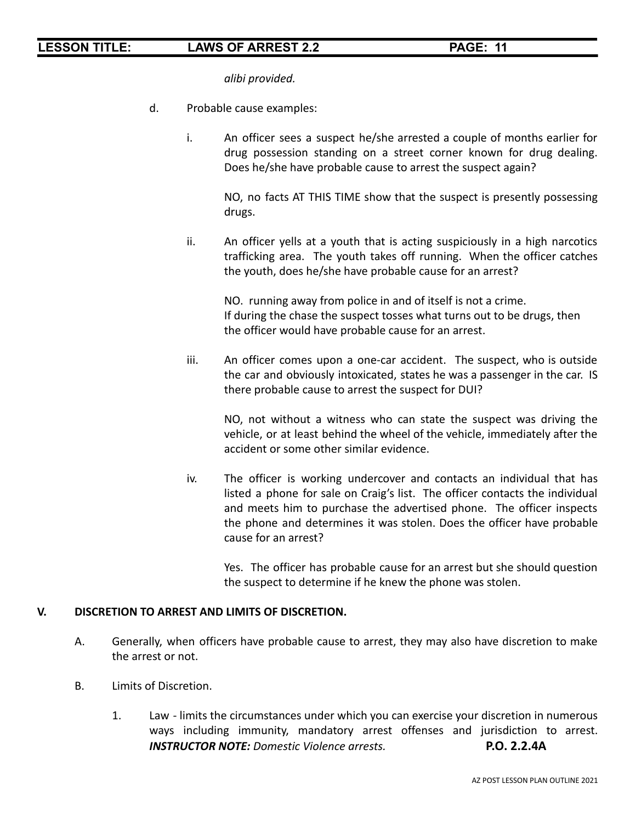*alibi provided.*

- d. Probable cause examples:
	- i. An officer sees a suspect he/she arrested a couple of months earlier for drug possession standing on a street corner known for drug dealing. Does he/she have probable cause to arrest the suspect again?

NO, no facts AT THIS TIME show that the suspect is presently possessing drugs.

ii. An officer yells at a youth that is acting suspiciously in a high narcotics trafficking area. The youth takes off running. When the officer catches the youth, does he/she have probable cause for an arrest?

NO. running away from police in and of itself is not a crime. If during the chase the suspect tosses what turns out to be drugs, then the officer would have probable cause for an arrest.

iii. An officer comes upon a one-car accident. The suspect, who is outside the car and obviously intoxicated, states he was a passenger in the car. IS there probable cause to arrest the suspect for DUI?

NO, not without a witness who can state the suspect was driving the vehicle, or at least behind the wheel of the vehicle, immediately after the accident or some other similar evidence.

iv. The officer is working undercover and contacts an individual that has listed a phone for sale on Craig's list. The officer contacts the individual and meets him to purchase the advertised phone. The officer inspects the phone and determines it was stolen. Does the officer have probable cause for an arrest?

Yes. The officer has probable cause for an arrest but she should question the suspect to determine if he knew the phone was stolen.

### **V. DISCRETION TO ARREST AND LIMITS OF DISCRETION.**

- A. Generally, when officers have probable cause to arrest, they may also have discretion to make the arrest or not.
- B. Limits of Discretion.
	- 1. Law limits the circumstances under which you can exercise your discretion in numerous ways including immunity, mandatory arrest offenses and jurisdiction to arrest. *INSTRUCTOR NOTE: Domestic Violence arrests.* **P.O. 2.2.4A**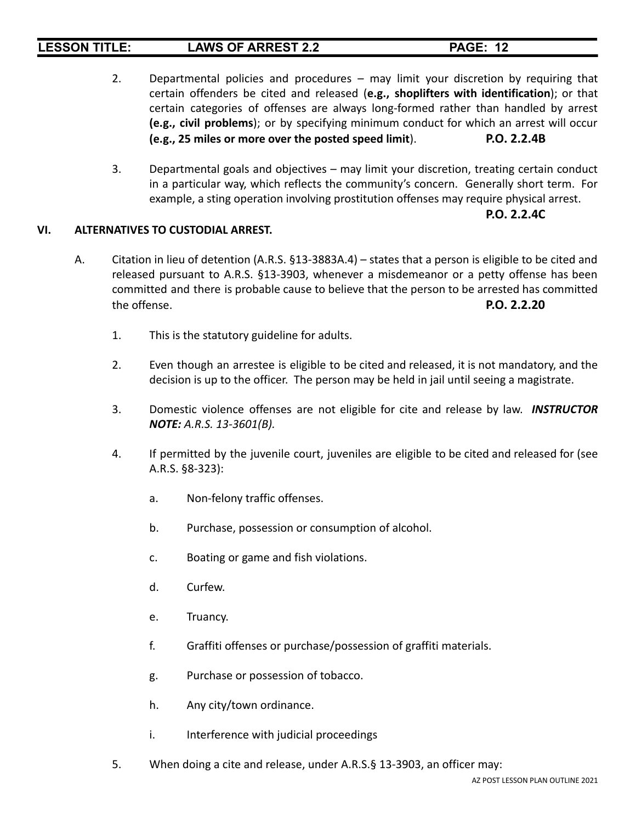- 2. Departmental policies and procedures may limit your discretion by requiring that certain offenders be cited and released (**e.g., shoplifters with identification**); or that certain categories of offenses are always long-formed rather than handled by arrest **(e.g., civil problems**); or by specifying minimum conduct for which an arrest will occur **(e.g., 25 miles or more over the posted speed limit**). **P.O. 2.2.4B**
- 3. Departmental goals and objectives may limit your discretion, treating certain conduct in a particular way, which reflects the community's concern. Generally short term. For example, a sting operation involving prostitution offenses may require physical arrest.

### **P.O. 2.2.4C**

### **VI. ALTERNATIVES TO CUSTODIAL ARREST.**

- A. Citation in lieu of detention (A.R.S. §13-3883A.4) states that a person is eligible to be cited and released pursuant to A.R.S. §13-3903, whenever a misdemeanor or a petty offense has been committed and there is probable cause to believe that the person to be arrested has committed the offense. **P.O. 2.2.20**
	- 1. This is the statutory guideline for adults.
	- 2. Even though an arrestee is eligible to be cited and released, it is not mandatory, and the decision is up to the officer. The person may be held in jail until seeing a magistrate.
	- 3. Domestic violence offenses are not eligible for cite and release by law. *INSTRUCTOR NOTE: A.R.S. 13-3601(B).*
	- 4. If permitted by the juvenile court, juveniles are eligible to be cited and released for (see A.R.S. §8-323):
		- a. Non-felony traffic offenses.
		- b. Purchase, possession or consumption of alcohol.
		- c. Boating or game and fish violations.
		- d. Curfew.
		- e. Truancy.
		- f. Graffiti offenses or purchase/possession of graffiti materials.
		- g. Purchase or possession of tobacco.
		- h. Any city/town ordinance.
		- i. Interference with judicial proceedings
	- 5. When doing a cite and release, under A.R.S.§ 13-3903, an officer may: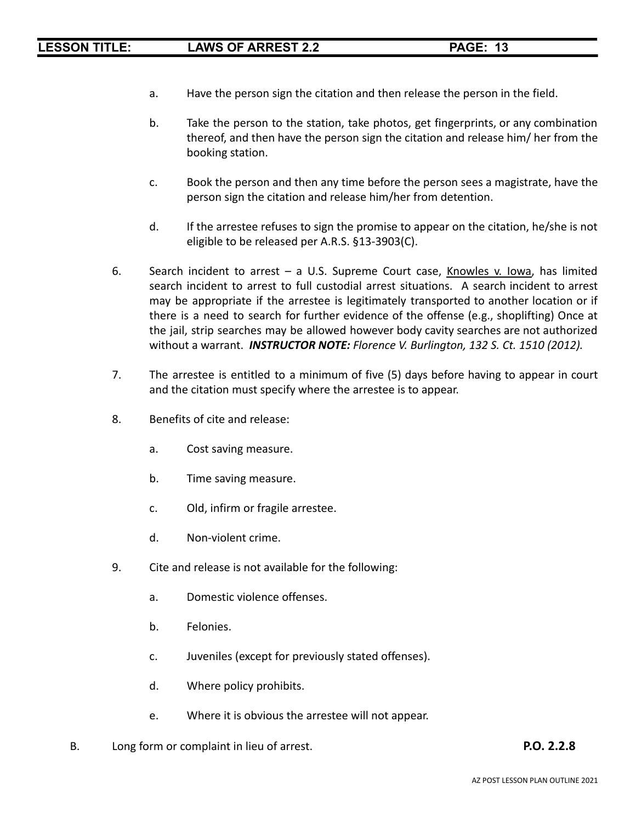- a. Have the person sign the citation and then release the person in the field.
- b. Take the person to the station, take photos, get fingerprints, or any combination thereof, and then have the person sign the citation and release him/ her from the booking station.
- c. Book the person and then any time before the person sees a magistrate, have the person sign the citation and release him/her from detention.
- d. If the arrestee refuses to sign the promise to appear on the citation, he/she is not eligible to be released per A.R.S. §13-3903(C).
- 6. Search incident to arrest  $-$  a U.S. Supreme Court case, Knowles v. Iowa, has limited search incident to arrest to full custodial arrest situations. A search incident to arrest may be appropriate if the arrestee is legitimately transported to another location or if there is a need to search for further evidence of the offense (e.g., shoplifting) Once at the jail, strip searches may be allowed however body cavity searches are not authorized without a warrant. *INSTRUCTOR NOTE: Florence V. Burlington, 132 S. Ct. 1510 (2012).*
- 7. The arrestee is entitled to a minimum of five (5) days before having to appear in court and the citation must specify where the arrestee is to appear.
- 8. Benefits of cite and release:
	- a. Cost saving measure.
	- b. Time saving measure.
	- c. Old, infirm or fragile arrestee.
	- d. Non-violent crime.
- 9. Cite and release is not available for the following:
	- a. Domestic violence offenses.
	- b. Felonies.
	- c. Juveniles (except for previously stated offenses).
	- d. Where policy prohibits.
	- e. Where it is obvious the arrestee will not appear.
- B. Long form or complaint in lieu of arrest. **P.O. 2.2.8**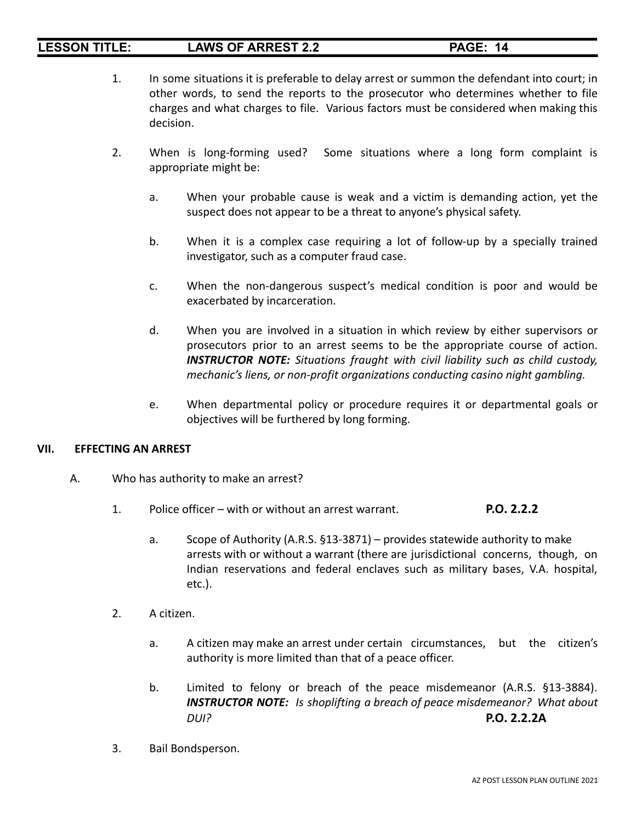- 1. In some situations it is preferable to delay arrest or summon the defendant into court; in other words, to send the reports to the prosecutor who determines whether to file charges and what charges to file. Various factors must be considered when making this decision.
- 2. When is long-forming used? Some situations where a long form complaint is appropriate might be:
	- a. When your probable cause is weak and a victim is demanding action, yet the suspect does not appear to be a threat to anyone's physical safety.
	- b. When it is a complex case requiring a lot of follow-up by a specially trained investigator, such as a computer fraud case.
	- c. When the non-dangerous suspect's medical condition is poor and would be exacerbated by incarceration.
	- d. When you are involved in a situation in which review by either supervisors or prosecutors prior to an arrest seems to be the appropriate course of action. *INSTRUCTOR NOTE: Situations fraught with civil liability such as child custody, mechanic's liens, or non-profit organizations conducting casino night gambling.*
	- e. When departmental policy or procedure requires it or departmental goals or objectives will be furthered by long forming.

### **VII. EFFECTING AN ARREST**

- A. Who has authority to make an arrest?
	- 1. Police officer with or without an arrest warrant. **P.O. 2.2.2**
		- a. Scope of Authority (A.R.S. §13-3871) provides statewide authority to make arrests with or without a warrant (there are jurisdictional concerns, though, on Indian reservations and federal enclaves such as military bases, V.A. hospital, etc.).
	- 2. A citizen.
		- a. A citizen may make an arrest under certain circumstances, but the citizen's authority is more limited than that of a peace officer.
		- b. Limited to felony or breach of the peace misdemeanor (A.R.S. §13-3884). *INSTRUCTOR NOTE: Is shoplifting a breach of peace misdemeanor? What about DUI?* **P.O. 2.2.2A**
	- 3. Bail Bondsperson.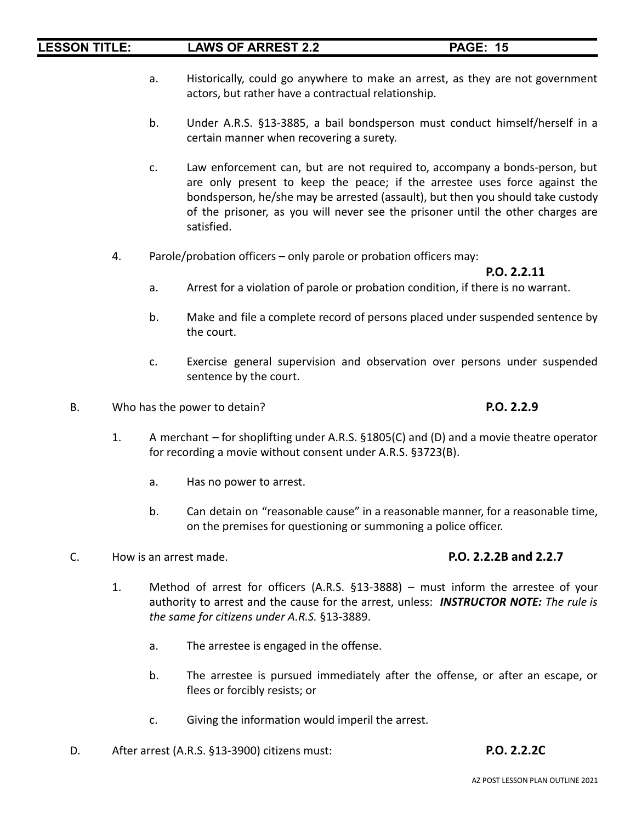- a. Historically, could go anywhere to make an arrest, as they are not government actors, but rather have a contractual relationship.
- b. Under A.R.S. §13-3885, a bail bondsperson must conduct himself/herself in a certain manner when recovering a surety.
- c. Law enforcement can, but are not required to, accompany a bonds-person, but are only present to keep the peace; if the arrestee uses force against the bondsperson, he/she may be arrested (assault), but then you should take custody of the prisoner, as you will never see the prisoner until the other charges are satisfied.
- 4. Parole/probation officers only parole or probation officers may:

### **P.O. 2.2.11**

- a. Arrest for a violation of parole or probation condition, if there is no warrant.
- b. Make and file a complete record of persons placed under suspended sentence by the court.
- c. Exercise general supervision and observation over persons under suspended sentence by the court.
- B. Who has the power to detain? **P.O. 2.2.9**

- 1. A merchant for shoplifting under A.R.S. §1805(C) and (D) and a movie theatre operator for recording a movie without consent under A.R.S. §3723(B).
	- a. Has no power to arrest.
	- b. Can detain on "reasonable cause" in a reasonable manner, for a reasonable time, on the premises for questioning or summoning a police officer.
- C. How is an arrest made. **P.O. 2.2.2B and 2.2.7**

- 1. Method of arrest for officers (A.R.S. §13-3888) must inform the arrestee of your authority to arrest and the cause for the arrest, unless: *INSTRUCTOR NOTE: The rule is the same for citizens under A.R.S.* §13-3889.
	- a. The arrestee is engaged in the offense.
	- b. The arrestee is pursued immediately after the offense, or after an escape, or flees or forcibly resists; or
	- c. Giving the information would imperil the arrest.
- D. After arrest (A.R.S. §13-3900) citizens must: **P.O. 2.2.2C**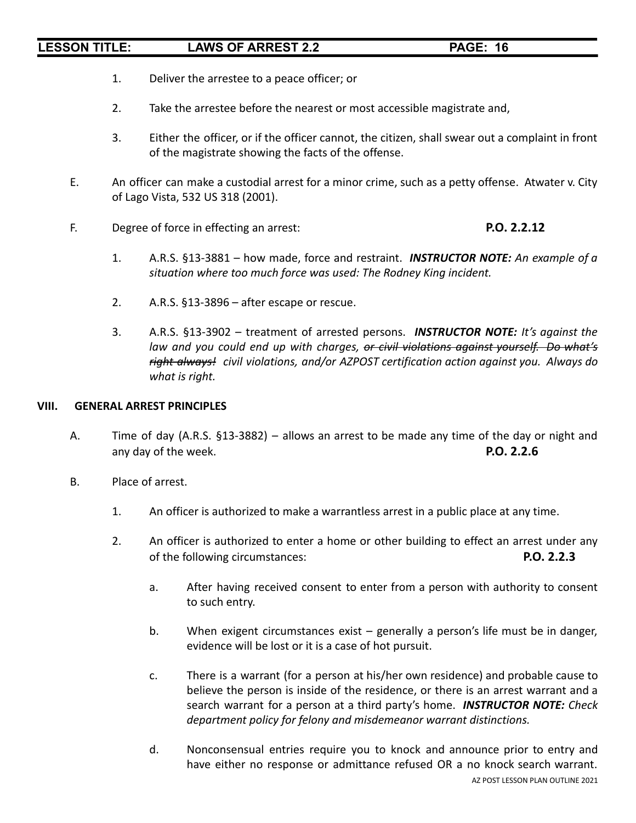- 1. Deliver the arrestee to a peace officer; or
- 2. Take the arrestee before the nearest or most accessible magistrate and,
- 3. Either the officer, or if the officer cannot, the citizen, shall swear out a complaint in front of the magistrate showing the facts of the offense.
- E. An officer can make a custodial arrest for a minor crime, such as a petty offense. Atwater v. City of Lago Vista, 532 US 318 (2001).
- F. Degree of force in effecting an arrest: **P.O. 2.2.12**

- 1. A.R.S. §13-3881 how made, force and restraint. *INSTRUCTOR NOTE: An example of a situation where too much force was used: The Rodney King incident.*
- 2. A.R.S. §13-3896 after escape or rescue.
- 3. A.R.S. §13-3902 treatment of arrested persons. *INSTRUCTOR NOTE: It's against the law and you could end up with charges, or civil violations against yourself. Do what's right always! civil violations, and/or AZPOST certification action against you. Always do what is right.*

### **VIII. GENERAL ARREST PRINCIPLES**

- A. Time of day (A.R.S. §13-3882) allows an arrest to be made any time of the day or night and any day of the week. **P.O. 2.2.6**
- B. Place of arrest.
	- 1. An officer is authorized to make a warrantless arrest in a public place at any time.
	- 2. An officer is authorized to enter a home or other building to effect an arrest under any of the following circumstances: **P.O. 2.2.3**
		- a. After having received consent to enter from a person with authority to consent to such entry.
		- b. When exigent circumstances exist generally a person's life must be in danger, evidence will be lost or it is a case of hot pursuit.
		- c. There is a warrant (for a person at his/her own residence) and probable cause to believe the person is inside of the residence, or there is an arrest warrant and a search warrant for a person at a third party's home. *INSTRUCTOR NOTE: Check department policy for felony and misdemeanor warrant distinctions.*
		- d. Nonconsensual entries require you to knock and announce prior to entry and have either no response or admittance refused OR a no knock search warrant. AZ POST LESSON PLAN OUTLINE 2021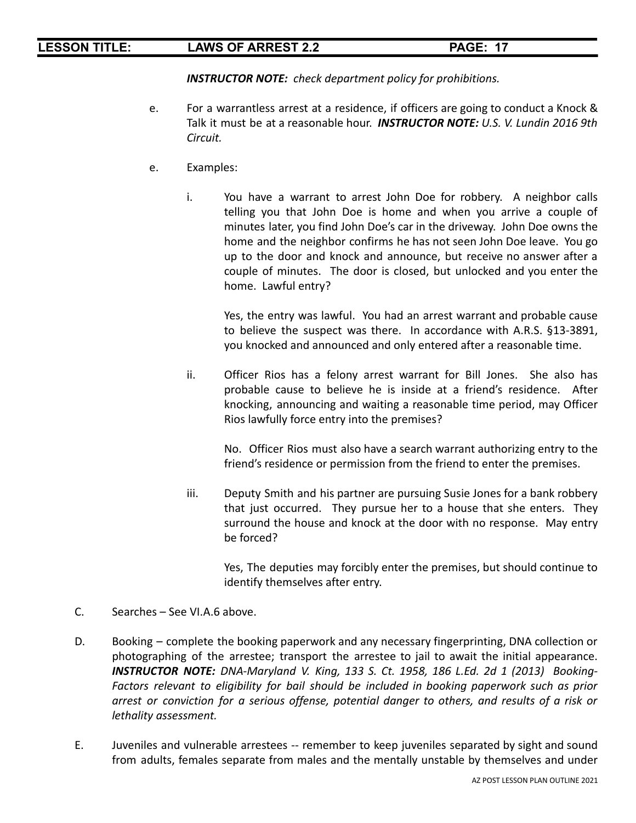*INSTRUCTOR NOTE: check department policy for prohibitions.*

- e. For a warrantless arrest at a residence, if officers are going to conduct a Knock & Talk it must be at a reasonable hour. *INSTRUCTOR NOTE: U.S. V. Lundin 2016 9th Circuit.*
- e. Examples:
	- i. You have a warrant to arrest John Doe for robbery. A neighbor calls telling you that John Doe is home and when you arrive a couple of minutes later, you find John Doe's car in the driveway. John Doe owns the home and the neighbor confirms he has not seen John Doe leave. You go up to the door and knock and announce, but receive no answer after a couple of minutes. The door is closed, but unlocked and you enter the home. Lawful entry?

Yes, the entry was lawful. You had an arrest warrant and probable cause to believe the suspect was there. In accordance with A.R.S. §13-3891, you knocked and announced and only entered after a reasonable time.

ii. Officer Rios has a felony arrest warrant for Bill Jones. She also has probable cause to believe he is inside at a friend's residence. After knocking, announcing and waiting a reasonable time period, may Officer Rios lawfully force entry into the premises?

No. Officer Rios must also have a search warrant authorizing entry to the friend's residence or permission from the friend to enter the premises.

iii. Deputy Smith and his partner are pursuing Susie Jones for a bank robbery that just occurred. They pursue her to a house that she enters. They surround the house and knock at the door with no response. May entry be forced?

Yes, The deputies may forcibly enter the premises, but should continue to identify themselves after entry.

- C. Searches See VI.A.6 above.
- D. Booking complete the booking paperwork and any necessary fingerprinting, DNA collection or photographing of the arrestee; transport the arrestee to jail to await the initial appearance. *INSTRUCTOR NOTE: DNA-Maryland V. King, 133 S. Ct. 1958, 186 L.Ed. 2d 1 (2013) Booking-Factors relevant to eligibility for bail should be included in booking paperwork such as prior arrest or conviction for a serious offense, potential danger to others, and results of a risk or lethality assessment.*
- E. Juveniles and vulnerable arrestees -- remember to keep juveniles separated by sight and sound from adults, females separate from males and the mentally unstable by themselves and under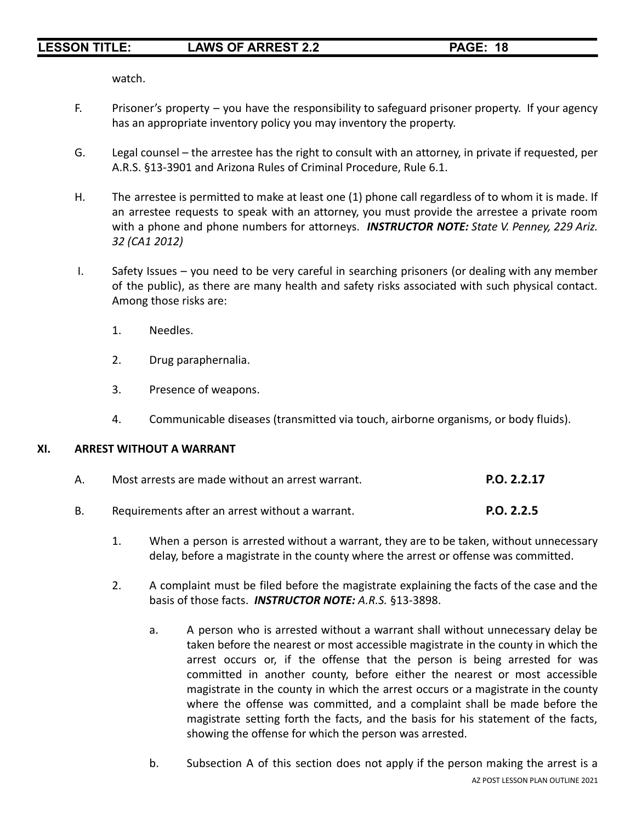watch.

- F. Prisoner's property you have the responsibility to safeguard prisoner property. If your agency has an appropriate inventory policy you may inventory the property.
- G. Legal counsel the arrestee has the right to consult with an attorney, in private if requested, per A.R.S. §13-3901 and Arizona Rules of Criminal Procedure, Rule 6.1.
- H. The arrestee is permitted to make at least one (1) phone call regardless of to whom it is made. If an arrestee requests to speak with an attorney, you must provide the arrestee a private room with a phone and phone numbers for attorneys. *INSTRUCTOR NOTE: State V. Penney, 229 Ariz. 32 (CA1 2012)*
- I. Safety Issues you need to be very careful in searching prisoners (or dealing with any member of the public), as there are many health and safety risks associated with such physical contact. Among those risks are:
	- 1. Needles.
	- 2. Drug paraphernalia.
	- 3. Presence of weapons.
	- 4. Communicable diseases (transmitted via touch, airborne organisms, or body fluids).

### **XI. ARREST WITHOUT A WARRANT**

| Most arrests are made without an arrest warrant. | P.O. 2.2.17 |
|--------------------------------------------------|-------------|
|                                                  |             |

- B. Requirements after an arrest without a warrant. **P.O. 2.2.5**
	- 1. When a person is arrested without a warrant, they are to be taken, without unnecessary delay, before a magistrate in the county where the arrest or offense was committed.
	- 2. A complaint must be filed before the magistrate explaining the facts of the case and the basis of those facts. *INSTRUCTOR NOTE: A.R.S.* §13-3898.
		- a. A person who is arrested without a warrant shall without unnecessary delay be taken before the nearest or most accessible magistrate in the county in which the arrest occurs or, if the offense that the person is being arrested for was committed in another county, before either the nearest or most accessible magistrate in the county in which the arrest occurs or a magistrate in the county where the offense was committed, and a complaint shall be made before the magistrate setting forth the facts, and the basis for his statement of the facts, showing the offense for which the person was arrested.
		- b. Subsection A of this section does not apply if the person making the arrest is a AZ POST LESSON PLAN OUTLINE 2021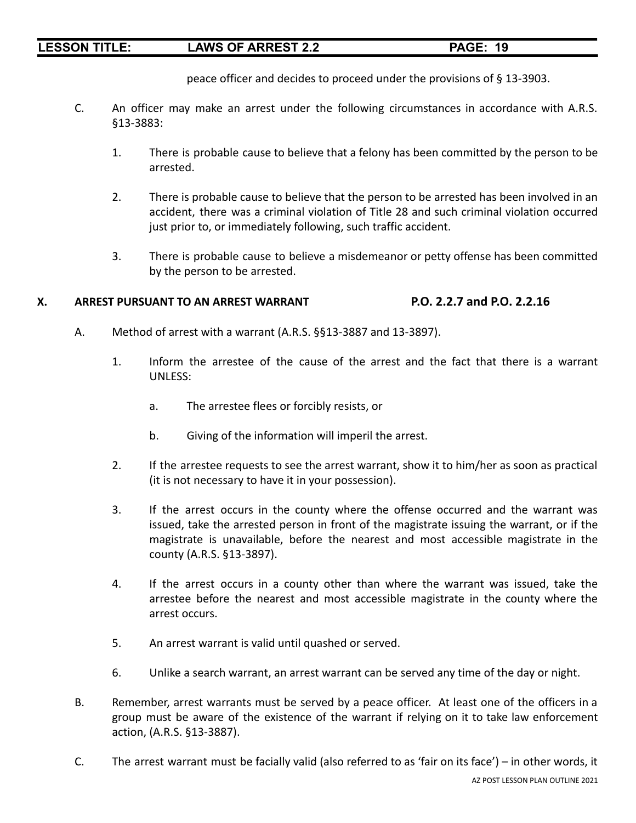peace officer and decides to proceed under the provisions of § 13-3903.

- C. An officer may make an arrest under the following circumstances in accordance with A.R.S. §13-3883:
	- 1. There is probable cause to believe that a felony has been committed by the person to be arrested.
	- 2. There is probable cause to believe that the person to be arrested has been involved in an accident, there was a criminal violation of Title 28 and such criminal violation occurred just prior to, or immediately following, such traffic accident.
	- 3. There is probable cause to believe a misdemeanor or petty offense has been committed by the person to be arrested.

### **X. ARREST PURSUANT TO AN ARREST WARRANT P.O. 2.2.7 and P.O. 2.2.16**

- A. Method of arrest with a warrant (A.R.S. §§13-3887 and 13-3897).
	- 1. Inform the arrestee of the cause of the arrest and the fact that there is a warrant UNLESS:
		- a. The arrestee flees or forcibly resists, or
		- b. Giving of the information will imperil the arrest.
	- 2. If the arrestee requests to see the arrest warrant, show it to him/her as soon as practical (it is not necessary to have it in your possession).
	- 3. If the arrest occurs in the county where the offense occurred and the warrant was issued, take the arrested person in front of the magistrate issuing the warrant, or if the magistrate is unavailable, before the nearest and most accessible magistrate in the county (A.R.S. §13-3897).
	- 4. If the arrest occurs in a county other than where the warrant was issued, take the arrestee before the nearest and most accessible magistrate in the county where the arrest occurs.
	- 5. An arrest warrant is valid until quashed or served.
	- 6. Unlike a search warrant, an arrest warrant can be served any time of the day or night.
- B. Remember, arrest warrants must be served by a peace officer. At least one of the officers in a group must be aware of the existence of the warrant if relying on it to take law enforcement action, (A.R.S. §13-3887).
- C. The arrest warrant must be facially valid (also referred to as 'fair on its face') in other words, it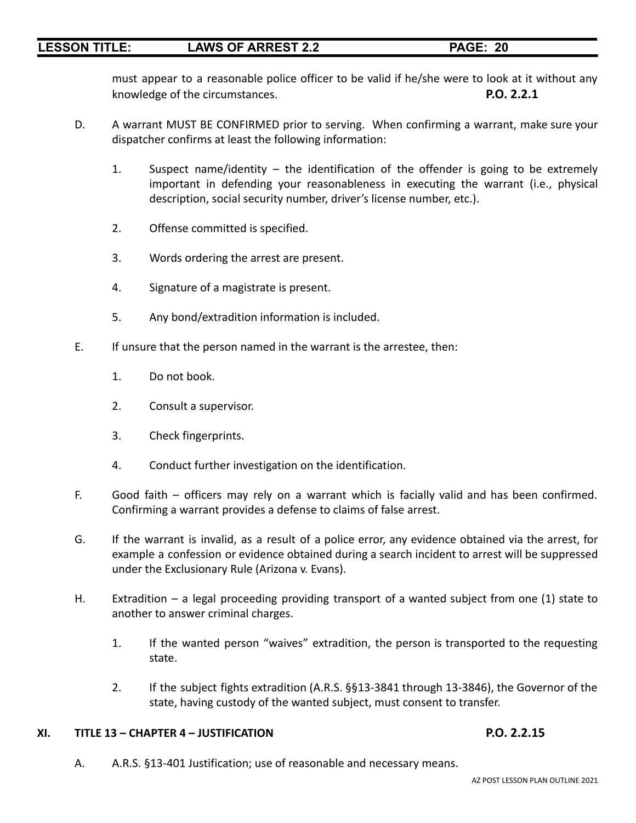must appear to a reasonable police officer to be valid if he/she were to look at it without any knowledge of the circumstances. **P.O. 2.2.1**

- D. A warrant MUST BE CONFIRMED prior to serving. When confirming a warrant, make sure your dispatcher confirms at least the following information:
	- 1. Suspect name/identity the identification of the offender is going to be extremely important in defending your reasonableness in executing the warrant (i.e., physical description, social security number, driver's license number, etc.).
	- 2. Offense committed is specified.
	- 3. Words ordering the arrest are present.
	- 4. Signature of a magistrate is present.
	- 5. Any bond/extradition information is included.
- E. If unsure that the person named in the warrant is the arrestee, then:
	- 1. Do not book.
	- 2. Consult a supervisor.
	- 3. Check fingerprints.
	- 4. Conduct further investigation on the identification.
- F. Good faith officers may rely on a warrant which is facially valid and has been confirmed. Confirming a warrant provides a defense to claims of false arrest.
- G. If the warrant is invalid, as a result of a police error, any evidence obtained via the arrest, for example a confession or evidence obtained during a search incident to arrest will be suppressed under the Exclusionary Rule (Arizona v. Evans).
- H. Extradition a legal proceeding providing transport of a wanted subject from one (1) state to another to answer criminal charges.
	- 1. If the wanted person "waives" extradition, the person is transported to the requesting state.
	- 2. If the subject fights extradition (A.R.S. §§13-3841 through 13-3846), the Governor of the state, having custody of the wanted subject, must consent to transfer.

### **XI. TITLE 13 – CHAPTER 4 – JUSTIFICATION P.O. 2.2.15**

A. A.R.S. §13-401 Justification; use of reasonable and necessary means.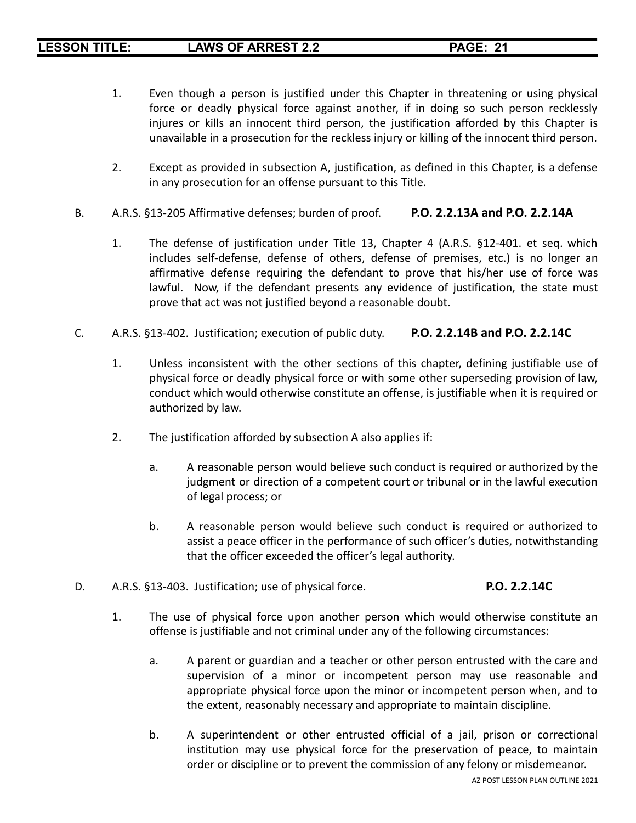- 1. Even though a person is justified under this Chapter in threatening or using physical force or deadly physical force against another, if in doing so such person recklessly injures or kills an innocent third person, the justification afforded by this Chapter is unavailable in a prosecution for the reckless injury or killing of the innocent third person.
- 2. Except as provided in subsection A, justification, as defined in this Chapter, is a defense in any prosecution for an offense pursuant to this Title.
- B. A.R.S. §13-205 Affirmative defenses; burden of proof. **P.O. 2.2.13A and P.O. 2.2.14A**
	- 1. The defense of justification under Title 13, Chapter 4 (A.R.S. §12-401. et seq. which includes self-defense, defense of others, defense of premises, etc.) is no longer an affirmative defense requiring the defendant to prove that his/her use of force was lawful. Now, if the defendant presents any evidence of justification, the state must prove that act was not justified beyond a reasonable doubt.
- C. A.R.S. §13-402. Justification; execution of public duty. **P.O. 2.2.14B and P.O. 2.2.14C**
	- 1. Unless inconsistent with the other sections of this chapter, defining justifiable use of physical force or deadly physical force or with some other superseding provision of law, conduct which would otherwise constitute an offense, is justifiable when it is required or authorized by law.
	- 2. The justification afforded by subsection A also applies if:
		- a. A reasonable person would believe such conduct is required or authorized by the judgment or direction of a competent court or tribunal or in the lawful execution of legal process; or
		- b. A reasonable person would believe such conduct is required or authorized to assist a peace officer in the performance of such officer's duties, notwithstanding that the officer exceeded the officer's legal authority.
- D. A.R.S. §13-403. Justification; use of physical force. **P.O. 2.2.14C**
	- 1. The use of physical force upon another person which would otherwise constitute an offense is justifiable and not criminal under any of the following circumstances:
		- a. A parent or guardian and a teacher or other person entrusted with the care and supervision of a minor or incompetent person may use reasonable and appropriate physical force upon the minor or incompetent person when, and to the extent, reasonably necessary and appropriate to maintain discipline.
		- b. A superintendent or other entrusted official of a jail, prison or correctional institution may use physical force for the preservation of peace, to maintain order or discipline or to prevent the commission of any felony or misdemeanor.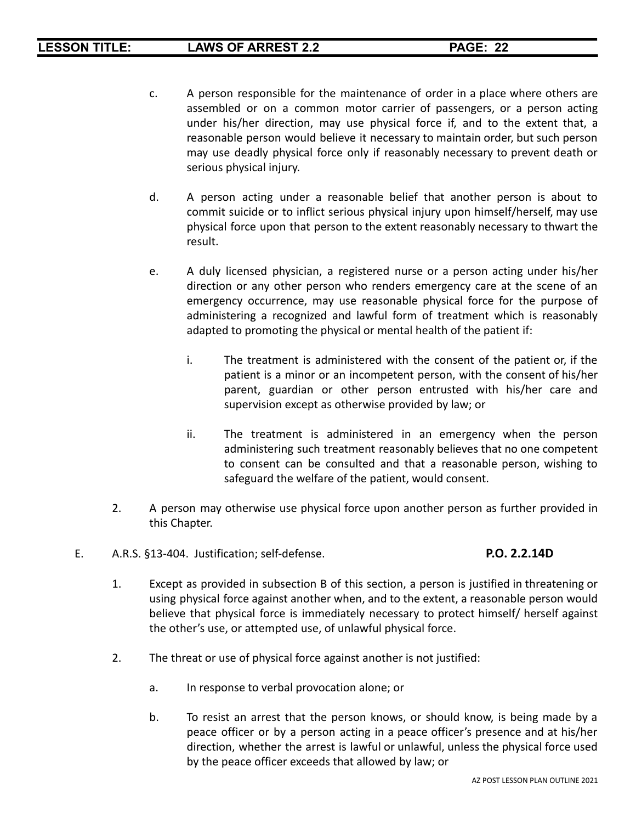- c. A person responsible for the maintenance of order in a place where others are assembled or on a common motor carrier of passengers, or a person acting under his/her direction, may use physical force if, and to the extent that, a reasonable person would believe it necessary to maintain order, but such person may use deadly physical force only if reasonably necessary to prevent death or serious physical injury.
- d. A person acting under a reasonable belief that another person is about to commit suicide or to inflict serious physical injury upon himself/herself, may use physical force upon that person to the extent reasonably necessary to thwart the result.
- e. A duly licensed physician, a registered nurse or a person acting under his/her direction or any other person who renders emergency care at the scene of an emergency occurrence, may use reasonable physical force for the purpose of administering a recognized and lawful form of treatment which is reasonably adapted to promoting the physical or mental health of the patient if:
	- i. The treatment is administered with the consent of the patient or, if the patient is a minor or an incompetent person, with the consent of his/her parent, guardian or other person entrusted with his/her care and supervision except as otherwise provided by law; or
	- ii. The treatment is administered in an emergency when the person administering such treatment reasonably believes that no one competent to consent can be consulted and that a reasonable person, wishing to safeguard the welfare of the patient, would consent.
- 2. A person may otherwise use physical force upon another person as further provided in this Chapter.
- E. A.R.S. §13-404. Justification; self-defense. **P.O. 2.2.14D**

- 1. Except as provided in subsection B of this section, a person is justified in threatening or using physical force against another when, and to the extent, a reasonable person would believe that physical force is immediately necessary to protect himself/ herself against the other's use, or attempted use, of unlawful physical force.
- 2. The threat or use of physical force against another is not justified:
	- a. In response to verbal provocation alone; or
	- b. To resist an arrest that the person knows, or should know, is being made by a peace officer or by a person acting in a peace officer's presence and at his/her direction, whether the arrest is lawful or unlawful, unless the physical force used by the peace officer exceeds that allowed by law; or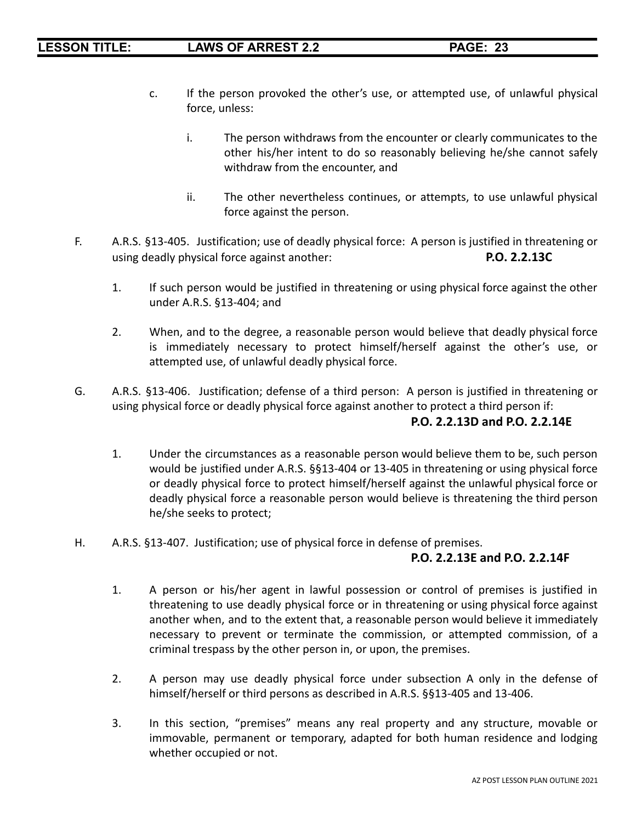- c. If the person provoked the other's use, or attempted use, of unlawful physical force, unless:
	- i. The person withdraws from the encounter or clearly communicates to the other his/her intent to do so reasonably believing he/she cannot safely withdraw from the encounter, and
	- ii. The other nevertheless continues, or attempts, to use unlawful physical force against the person.
- F. A.R.S. §13-405. Justification; use of deadly physical force: A person is justified in threatening or using deadly physical force against another: **P.O. 2.2.13C**
	- 1. If such person would be justified in threatening or using physical force against the other under A.R.S. §13-404; and
	- 2. When, and to the degree, a reasonable person would believe that deadly physical force is immediately necessary to protect himself/herself against the other's use, or attempted use, of unlawful deadly physical force.
- G. A.R.S. §13-406. Justification; defense of a third person: A person is justified in threatening or using physical force or deadly physical force against another to protect a third person if:

# **P.O. 2.2.13D and P.O. 2.2.14E**

- 1. Under the circumstances as a reasonable person would believe them to be, such person would be justified under A.R.S. §§13-404 or 13-405 in threatening or using physical force or deadly physical force to protect himself/herself against the unlawful physical force or deadly physical force a reasonable person would believe is threatening the third person he/she seeks to protect;
- H. A.R.S. §13-407. Justification; use of physical force in defense of premises.

### **P.O. 2.2.13E and P.O. 2.2.14F**

- 1. A person or his/her agent in lawful possession or control of premises is justified in threatening to use deadly physical force or in threatening or using physical force against another when, and to the extent that, a reasonable person would believe it immediately necessary to prevent or terminate the commission, or attempted commission, of a criminal trespass by the other person in, or upon, the premises.
- 2. A person may use deadly physical force under subsection A only in the defense of himself/herself or third persons as described in A.R.S. §§13-405 and 13-406.
- 3. In this section, "premises" means any real property and any structure, movable or immovable, permanent or temporary, adapted for both human residence and lodging whether occupied or not.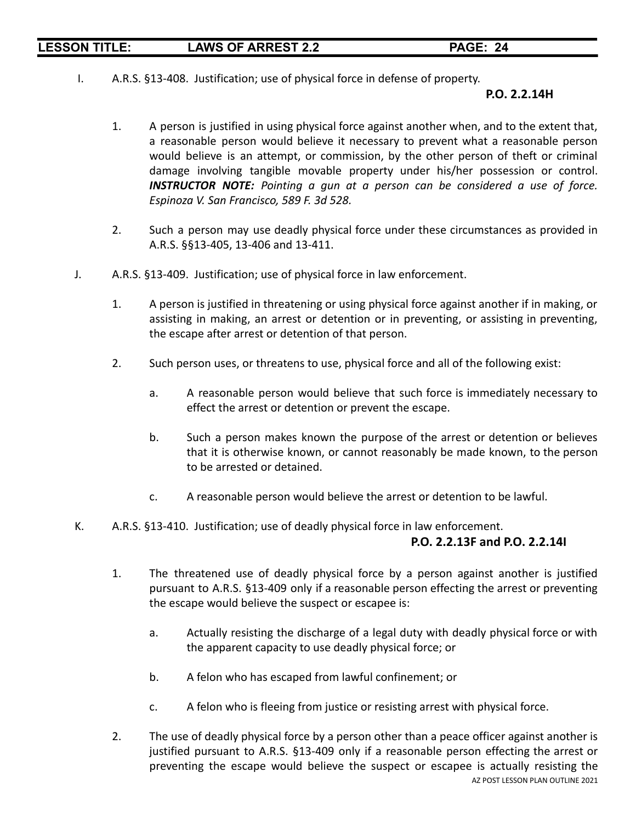I. A.R.S. §13-408. Justification; use of physical force in defense of property.

### **P.O. 2.2.14H**

- 1. A person is justified in using physical force against another when, and to the extent that, a reasonable person would believe it necessary to prevent what a reasonable person would believe is an attempt, or commission, by the other person of theft or criminal damage involving tangible movable property under his/her possession or control. *INSTRUCTOR NOTE: Pointing a gun at a person can be considered a use of force. Espinoza V. San Francisco, 589 F. 3d 528.*
- 2. Such a person may use deadly physical force under these circumstances as provided in A.R.S. §§13-405, 13-406 and 13-411.
- J. A.R.S. §13-409. Justification; use of physical force in law enforcement.
	- 1. A person is justified in threatening or using physical force against another if in making, or assisting in making, an arrest or detention or in preventing, or assisting in preventing, the escape after arrest or detention of that person.
	- 2. Such person uses, or threatens to use, physical force and all of the following exist:
		- a. A reasonable person would believe that such force is immediately necessary to effect the arrest or detention or prevent the escape.
		- b. Such a person makes known the purpose of the arrest or detention or believes that it is otherwise known, or cannot reasonably be made known, to the person to be arrested or detained.
		- c. A reasonable person would believe the arrest or detention to be lawful.
- K. A.R.S. §13-410. Justification; use of deadly physical force in law enforcement.

### **P.O. 2.2.13F and P.O. 2.2.14I**

- 1. The threatened use of deadly physical force by a person against another is justified pursuant to A.R.S. §13-409 only if a reasonable person effecting the arrest or preventing the escape would believe the suspect or escapee is:
	- a. Actually resisting the discharge of a legal duty with deadly physical force or with the apparent capacity to use deadly physical force; or
	- b. A felon who has escaped from lawful confinement; or
	- c. A felon who is fleeing from justice or resisting arrest with physical force.
- 2. The use of deadly physical force by a person other than a peace officer against another is justified pursuant to A.R.S. §13-409 only if a reasonable person effecting the arrest or preventing the escape would believe the suspect or escapee is actually resisting the AZ POST LESSON PLAN OUTLINE 2021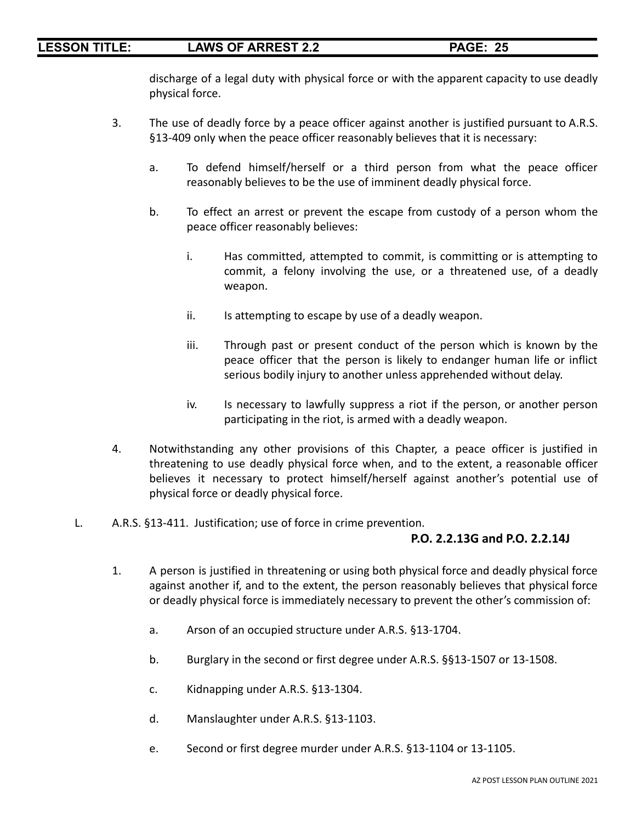discharge of a legal duty with physical force or with the apparent capacity to use deadly physical force.

- 3. The use of deadly force by a peace officer against another is justified pursuant to A.R.S. §13-409 only when the peace officer reasonably believes that it is necessary:
	- a. To defend himself/herself or a third person from what the peace officer reasonably believes to be the use of imminent deadly physical force.
	- b. To effect an arrest or prevent the escape from custody of a person whom the peace officer reasonably believes:
		- i. Has committed, attempted to commit, is committing or is attempting to commit, a felony involving the use, or a threatened use, of a deadly weapon.
		- ii. Is attempting to escape by use of a deadly weapon.
		- iii. Through past or present conduct of the person which is known by the peace officer that the person is likely to endanger human life or inflict serious bodily injury to another unless apprehended without delay.
		- iv. Is necessary to lawfully suppress a riot if the person, or another person participating in the riot, is armed with a deadly weapon.
- 4. Notwithstanding any other provisions of this Chapter, a peace officer is justified in threatening to use deadly physical force when, and to the extent, a reasonable officer believes it necessary to protect himself/herself against another's potential use of physical force or deadly physical force.
- L. A.R.S. §13-411. Justification; use of force in crime prevention.

### **P.O. 2.2.13G and P.O. 2.2.14J**

- 1. A person is justified in threatening or using both physical force and deadly physical force against another if, and to the extent, the person reasonably believes that physical force or deadly physical force is immediately necessary to prevent the other's commission of:
	- a. Arson of an occupied structure under A.R.S. §13-1704.
	- b. Burglary in the second or first degree under A.R.S. §§13-1507 or 13-1508.
	- c. Kidnapping under A.R.S. §13-1304.
	- d. Manslaughter under A.R.S. §13-1103.
	- e. Second or first degree murder under A.R.S. §13-1104 or 13-1105.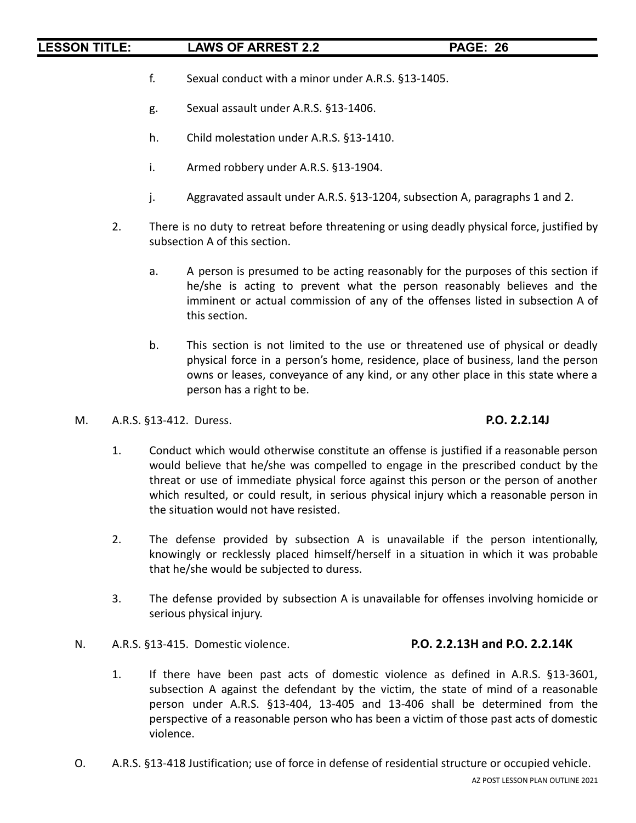- f. Sexual conduct with a minor under A.R.S. §13-1405.
- g. Sexual assault under A.R.S. §13-1406.
- h. Child molestation under A.R.S. §13-1410.
- i. Armed robbery under A.R.S. §13-1904.
- j. Aggravated assault under A.R.S. §13-1204, subsection A, paragraphs 1 and 2.
- 2. There is no duty to retreat before threatening or using deadly physical force, justified by subsection A of this section.
	- a. A person is presumed to be acting reasonably for the purposes of this section if he/she is acting to prevent what the person reasonably believes and the imminent or actual commission of any of the offenses listed in subsection A of this section.
	- b. This section is not limited to the use or threatened use of physical or deadly physical force in a person's home, residence, place of business, land the person owns or leases, conveyance of any kind, or any other place in this state where a person has a right to be.
- M. A.R.S. §13-412. Duress. **P.O. 2.2.14J**

- 1. Conduct which would otherwise constitute an offense is justified if a reasonable person would believe that he/she was compelled to engage in the prescribed conduct by the threat or use of immediate physical force against this person or the person of another which resulted, or could result, in serious physical injury which a reasonable person in the situation would not have resisted.
- 2. The defense provided by subsection A is unavailable if the person intentionally, knowingly or recklessly placed himself/herself in a situation in which it was probable that he/she would be subjected to duress.
- 3. The defense provided by subsection A is unavailable for offenses involving homicide or serious physical injury.
- N. A.R.S. §13-415. Domestic violence. **P.O. 2.2.13H and P.O. 2.2.14K**
- - 1. If there have been past acts of domestic violence as defined in A.R.S. §13-3601, subsection A against the defendant by the victim, the state of mind of a reasonable person under A.R.S. §13-404, 13-405 and 13-406 shall be determined from the perspective of a reasonable person who has been a victim of those past acts of domestic violence.
- O. A.R.S. §13-418 Justification; use of force in defense of residential structure or occupied vehicle.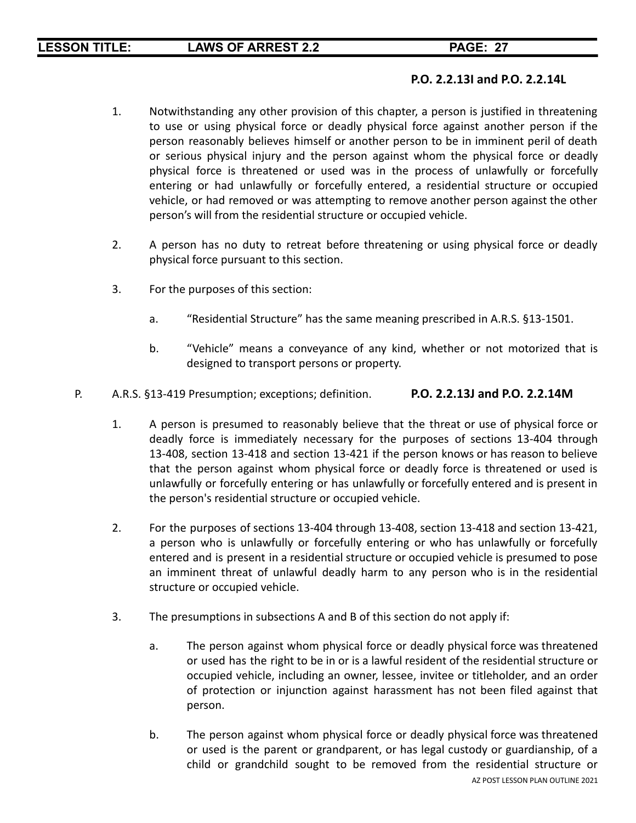### **P.O. 2.2.13I and P.O. 2.2.14L**

- 1. Notwithstanding any other provision of this chapter, a person is justified in threatening to use or using physical force or deadly physical force against another person if the person reasonably believes himself or another person to be in imminent peril of death or serious physical injury and the person against whom the physical force or deadly physical force is threatened or used was in the process of unlawfully or forcefully entering or had unlawfully or forcefully entered, a residential structure or occupied vehicle, or had removed or was attempting to remove another person against the other person's will from the residential structure or occupied vehicle.
- 2. A person has no duty to retreat before threatening or using physical force or deadly physical force pursuant to this section.
- 3. For the purposes of this section:
	- a. "Residential Structure" has the same meaning prescribed in A.R.S. §13-1501.
	- b. "Vehicle" means a conveyance of any kind, whether or not motorized that is designed to transport persons or property.
- P. A.R.S. §13-419 Presumption; exceptions; definition. **P.O. 2.2.13J and P.O. 2.2.14M**
	- 1. A person is presumed to reasonably believe that the threat or use of physical force or deadly force is immediately necessary for the purposes of sections 13-404 through 13-408, section 13-418 and section 13-421 if the person knows or has reason to believe that the person against whom physical force or deadly force is threatened or used is unlawfully or forcefully entering or has unlawfully or forcefully entered and is present in the person's residential structure or occupied vehicle.
	- 2. For the purposes of sections 13-404 through 13-408, section 13-418 and section 13-421, a person who is unlawfully or forcefully entering or who has unlawfully or forcefully entered and is present in a residential structure or occupied vehicle is presumed to pose an imminent threat of unlawful deadly harm to any person who is in the residential structure or occupied vehicle.
	- 3. The presumptions in subsections A and B of this section do not apply if:
		- a. The person against whom physical force or deadly physical force was threatened or used has the right to be in or is a lawful resident of the residential structure or occupied vehicle, including an owner, lessee, invitee or titleholder, and an order of protection or injunction against harassment has not been filed against that person.
		- b. The person against whom physical force or deadly physical force was threatened or used is the parent or grandparent, or has legal custody or guardianship, of a child or grandchild sought to be removed from the residential structure or AZ POST LESSON PLAN OUTLINE 2021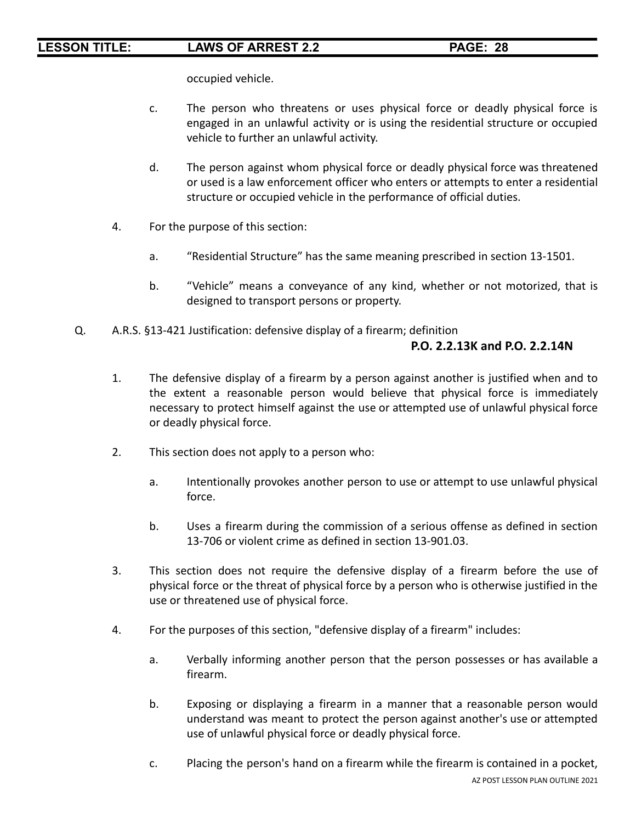occupied vehicle.

- c. The person who threatens or uses physical force or deadly physical force is engaged in an unlawful activity or is using the residential structure or occupied vehicle to further an unlawful activity.
- d. The person against whom physical force or deadly physical force was threatened or used is a law enforcement officer who enters or attempts to enter a residential structure or occupied vehicle in the performance of official duties.
- 4. For the purpose of this section:
	- a. "Residential Structure" has the same meaning prescribed in section 13-1501.
	- b. "Vehicle" means a conveyance of any kind, whether or not motorized, that is designed to transport persons or property.
- Q. A.R.S. §13-421 Justification: defensive display of a firearm; definition

### **P.O. 2.2.13K and P.O. 2.2.14N**

- 1. The defensive display of a firearm by a person against another is justified when and to the extent a reasonable person would believe that physical force is immediately necessary to protect himself against the use or attempted use of unlawful physical force or deadly physical force.
- 2. This section does not apply to a person who:
	- a. Intentionally provokes another person to use or attempt to use unlawful physical force.
	- b. Uses a firearm during the commission of a serious offense as defined in section 13-706 or violent crime as defined in section 13-901.03.
- 3. This section does not require the defensive display of a firearm before the use of physical force or the threat of physical force by a person who is otherwise justified in the use or threatened use of physical force.
- 4. For the purposes of this section, "defensive display of a firearm" includes:
	- a. Verbally informing another person that the person possesses or has available a firearm.
	- b. Exposing or displaying a firearm in a manner that a reasonable person would understand was meant to protect the person against another's use or attempted use of unlawful physical force or deadly physical force.
	- c. Placing the person's hand on a firearm while the firearm is contained in a pocket, AZ POST LESSON PLAN OUTLINE 2021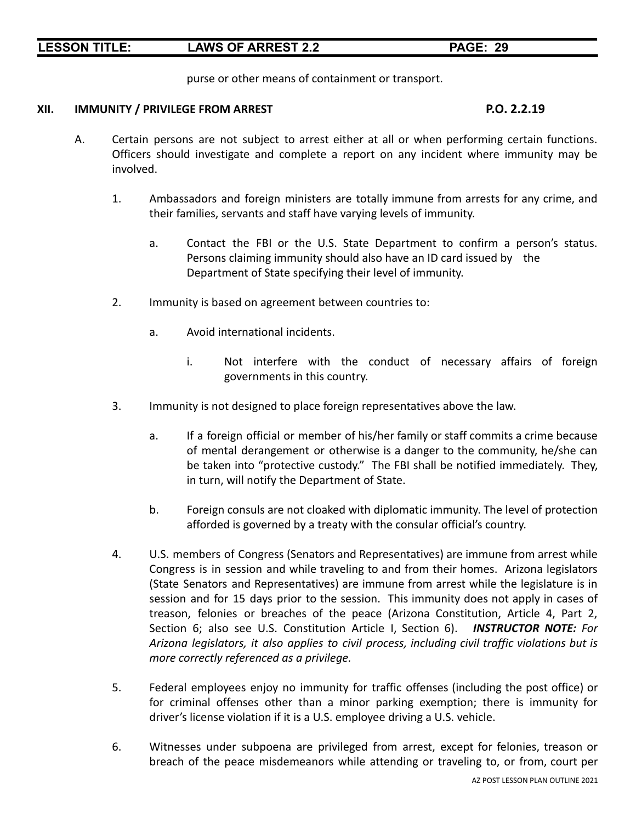purse or other means of containment or transport.

### **XII. IMMUNITY / PRIVILEGE FROM ARREST P.O. 2.2.19**

- A. Certain persons are not subject to arrest either at all or when performing certain functions. Officers should investigate and complete a report on any incident where immunity may be involved.
	- 1. Ambassadors and foreign ministers are totally immune from arrests for any crime, and their families, servants and staff have varying levels of immunity.
		- a. Contact the FBI or the U.S. State Department to confirm a person's status. Persons claiming immunity should also have an ID card issued by the Department of State specifying their level of immunity.
	- 2. Immunity is based on agreement between countries to:
		- a. Avoid international incidents.
			- i. Not interfere with the conduct of necessary affairs of foreign governments in this country.
	- 3. Immunity is not designed to place foreign representatives above the law.
		- a. If a foreign official or member of his/her family or staff commits a crime because of mental derangement or otherwise is a danger to the community, he/she can be taken into "protective custody." The FBI shall be notified immediately. They, in turn, will notify the Department of State.
		- b. Foreign consuls are not cloaked with diplomatic immunity. The level of protection afforded is governed by a treaty with the consular official's country.
	- 4. U.S. members of Congress (Senators and Representatives) are immune from arrest while Congress is in session and while traveling to and from their homes. Arizona legislators (State Senators and Representatives) are immune from arrest while the legislature is in session and for 15 days prior to the session. This immunity does not apply in cases of treason, felonies or breaches of the peace (Arizona Constitution, Article 4, Part 2, Section 6; also see U.S. Constitution Article I, Section 6). *INSTRUCTOR NOTE: For Arizona legislators, it also applies to civil process, including civil traffic violations but is more correctly referenced as a privilege.*
	- 5. Federal employees enjoy no immunity for traffic offenses (including the post office) or for criminal offenses other than a minor parking exemption; there is immunity for driver's license violation if it is a U.S. employee driving a U.S. vehicle.
	- 6. Witnesses under subpoena are privileged from arrest, except for felonies, treason or breach of the peace misdemeanors while attending or traveling to, or from, court per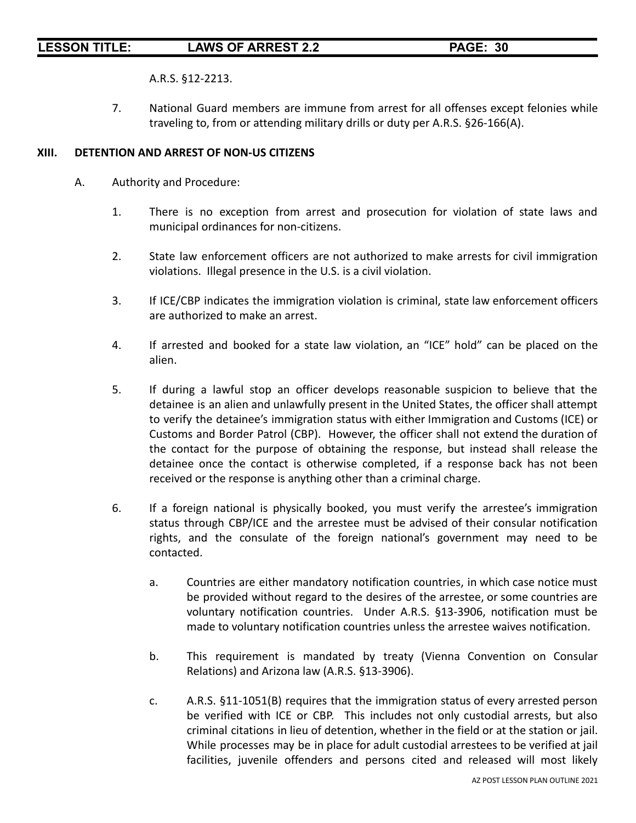A.R.S. §12-2213.

7. National Guard members are immune from arrest for all offenses except felonies while traveling to, from or attending military drills or duty per A.R.S. §26-166(A).

### **XIII. DETENTION AND ARREST OF NON-US CITIZENS**

- A. Authority and Procedure:
	- 1. There is no exception from arrest and prosecution for violation of state laws and municipal ordinances for non-citizens.
	- 2. State law enforcement officers are not authorized to make arrests for civil immigration violations. Illegal presence in the U.S. is a civil violation.
	- 3. If ICE/CBP indicates the immigration violation is criminal, state law enforcement officers are authorized to make an arrest.
	- 4. If arrested and booked for a state law violation, an "ICE" hold" can be placed on the alien.
	- 5. If during a lawful stop an officer develops reasonable suspicion to believe that the detainee is an alien and unlawfully present in the United States, the officer shall attempt to verify the detainee's immigration status with either Immigration and Customs (ICE) or Customs and Border Patrol (CBP). However, the officer shall not extend the duration of the contact for the purpose of obtaining the response, but instead shall release the detainee once the contact is otherwise completed, if a response back has not been received or the response is anything other than a criminal charge.
	- 6. If a foreign national is physically booked, you must verify the arrestee's immigration status through CBP/ICE and the arrestee must be advised of their consular notification rights, and the consulate of the foreign national's government may need to be contacted.
		- a. Countries are either mandatory notification countries, in which case notice must be provided without regard to the desires of the arrestee, or some countries are voluntary notification countries. Under A.R.S. §13-3906, notification must be made to voluntary notification countries unless the arrestee waives notification.
		- b. This requirement is mandated by treaty (Vienna Convention on Consular Relations) and Arizona law (A.R.S. §13-3906).
		- c. A.R.S. §11-1051(B) requires that the immigration status of every arrested person be verified with ICE or CBP. This includes not only custodial arrests, but also criminal citations in lieu of detention, whether in the field or at the station or jail. While processes may be in place for adult custodial arrestees to be verified at jail facilities, juvenile offenders and persons cited and released will most likely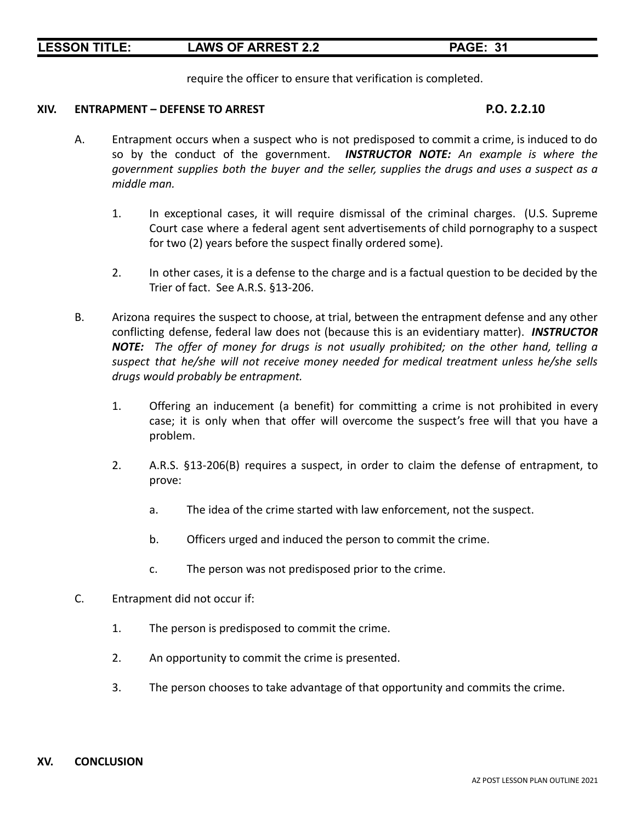require the officer to ensure that verification is completed.

### **XIV. ENTRAPMENT – DEFENSE TO ARREST P.O. 2.2.10**

- A. Entrapment occurs when a suspect who is not predisposed to commit a crime, is induced to do so by the conduct of the government. *INSTRUCTOR NOTE: An example is where the government supplies both the buyer and the seller, supplies the drugs and uses a suspect as a middle man.*
	- 1. In exceptional cases, it will require dismissal of the criminal charges. (U.S. Supreme Court case where a federal agent sent advertisements of child pornography to a suspect for two (2) years before the suspect finally ordered some).
	- 2. In other cases, it is a defense to the charge and is a factual question to be decided by the Trier of fact. See A.R.S. §13-206.
- B. Arizona requires the suspect to choose, at trial, between the entrapment defense and any other conflicting defense, federal law does not (because this is an evidentiary matter). *INSTRUCTOR NOTE: The offer of money for drugs is not usually prohibited; on the other hand, telling a suspect that he/she will not receive money needed for medical treatment unless he/she sells drugs would probably be entrapment.*
	- 1. Offering an inducement (a benefit) for committing a crime is not prohibited in every case; it is only when that offer will overcome the suspect's free will that you have a problem.
	- 2. A.R.S. §13-206(B) requires a suspect, in order to claim the defense of entrapment, to prove:
		- a. The idea of the crime started with law enforcement, not the suspect.
		- b. Officers urged and induced the person to commit the crime.
		- c. The person was not predisposed prior to the crime.
- C. Entrapment did not occur if:
	- 1. The person is predisposed to commit the crime.
	- 2. An opportunity to commit the crime is presented.
	- 3. The person chooses to take advantage of that opportunity and commits the crime.